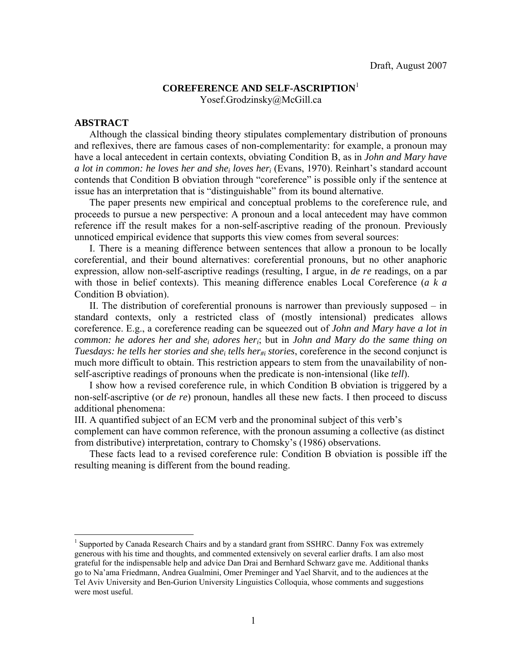### **COREFERENCE AND SELF-ASCRIPTION**<sup>1</sup> Yosef.Grodzinsky@McGill.ca

#### **ABSTRACT**

 $\overline{a}$ 

Although the classical binding theory stipulates complementary distribution of pronouns and reflexives, there are famous cases of non-complementarity: for example, a pronoun may have a local antecedent in certain contexts, obviating Condition B, as in *John and Mary have a lot in common: he loves her and shei loves heri* (Evans, 1970). Reinhart's standard account contends that Condition B obviation through "coreference" is possible only if the sentence at issue has an interpretation that is "distinguishable" from its bound alternative.

The paper presents new empirical and conceptual problems to the coreference rule, and proceeds to pursue a new perspective: A pronoun and a local antecedent may have common reference iff the result makes for a non-self-ascriptive reading of the pronoun. Previously unnoticed empirical evidence that supports this view comes from several sources:

I. There is a meaning difference between sentences that allow a pronoun to be locally coreferential, and their bound alternatives: coreferential pronouns, but no other anaphoric expression, allow non-self-ascriptive readings (resulting, I argue, in *de re* readings, on a par with those in belief contexts). This meaning difference enables Local Coreference (*a k a* Condition B obviation).

II. The distribution of coreferential pronouns is narrower than previously supposed – in standard contexts, only a restricted class of (mostly intensional) predicates allows coreference. E.g., a coreference reading can be squeezed out of *John and Mary have a lot in common: he adores her and shei adores heri*; but in *John and Mary do the same thing on Tuesdays: he tells her stories and she<sub>i</sub> tells her<sub>#i</sub> stories, coreference in the second conjunct is* much more difficult to obtain. This restriction appears to stem from the unavailability of nonself-ascriptive readings of pronouns when the predicate is non-intensional (like *tell*).

I show how a revised coreference rule, in which Condition B obviation is triggered by a non-self-ascriptive (or *de re*) pronoun, handles all these new facts. I then proceed to discuss additional phenomena:

III. A quantified subject of an ECM verb and the pronominal subject of this verb's

complement can have common reference, with the pronoun assuming a collective (as distinct from distributive) interpretation, contrary to Chomsky's (1986) observations.

These facts lead to a revised coreference rule: Condition B obviation is possible iff the resulting meaning is different from the bound reading.

<sup>&</sup>lt;sup>1</sup> Supported by Canada Research Chairs and by a standard grant from SSHRC. Danny Fox was extremely generous with his time and thoughts, and commented extensively on several earlier drafts. I am also most grateful for the indispensable help and advice Dan Drai and Bernhard Schwarz gave me. Additional thanks go to Na'ama Friedmann, Andrea Gualmini, Omer Preminger and Yael Sharvit, and to the audiences at the Tel Aviv University and Ben-Gurion University Linguistics Colloquia, whose comments and suggestions were most useful.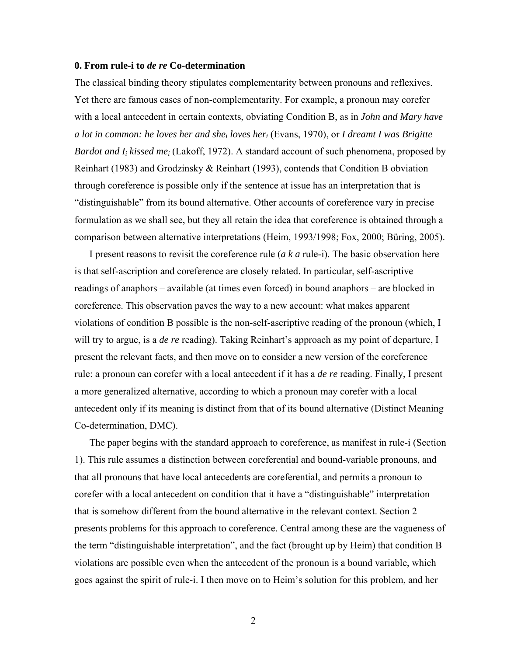#### **0. From rule-i to** *de re* **Co-determination**

The classical binding theory stipulates complementarity between pronouns and reflexives. Yet there are famous cases of non-complementarity. For example, a pronoun may corefer with a local antecedent in certain contexts, obviating Condition B, as in *John and Mary have a lot in common: he loves her and shei loves heri* (Evans, 1970), or *I dreamt I was Brigitte Bardot and I<sub>i</sub> kissed me<sub>i</sub>* (Lakoff, 1972). A standard account of such phenomena, proposed by Reinhart (1983) and Grodzinsky & Reinhart (1993), contends that Condition B obviation through coreference is possible only if the sentence at issue has an interpretation that is "distinguishable" from its bound alternative. Other accounts of coreference vary in precise formulation as we shall see, but they all retain the idea that coreference is obtained through a comparison between alternative interpretations (Heim, 1993/1998; Fox, 2000; Büring, 2005).

I present reasons to revisit the coreference rule (*a k a* rule-i). The basic observation here is that self-ascription and coreference are closely related. In particular, self-ascriptive readings of anaphors – available (at times even forced) in bound anaphors – are blocked in coreference. This observation paves the way to a new account: what makes apparent violations of condition B possible is the non-self-ascriptive reading of the pronoun (which, I will try to argue, is a *de re* reading). Taking Reinhart's approach as my point of departure, I present the relevant facts, and then move on to consider a new version of the coreference rule: a pronoun can corefer with a local antecedent if it has a *de re* reading. Finally, I present a more generalized alternative, according to which a pronoun may corefer with a local antecedent only if its meaning is distinct from that of its bound alternative (Distinct Meaning Co-determination, DMC).

The paper begins with the standard approach to coreference, as manifest in rule-i (Section 1). This rule assumes a distinction between coreferential and bound-variable pronouns, and that all pronouns that have local antecedents are coreferential, and permits a pronoun to corefer with a local antecedent on condition that it have a "distinguishable" interpretation that is somehow different from the bound alternative in the relevant context. Section 2 presents problems for this approach to coreference. Central among these are the vagueness of the term "distinguishable interpretation", and the fact (brought up by Heim) that condition B violations are possible even when the antecedent of the pronoun is a bound variable, which goes against the spirit of rule-i. I then move on to Heim's solution for this problem, and her

2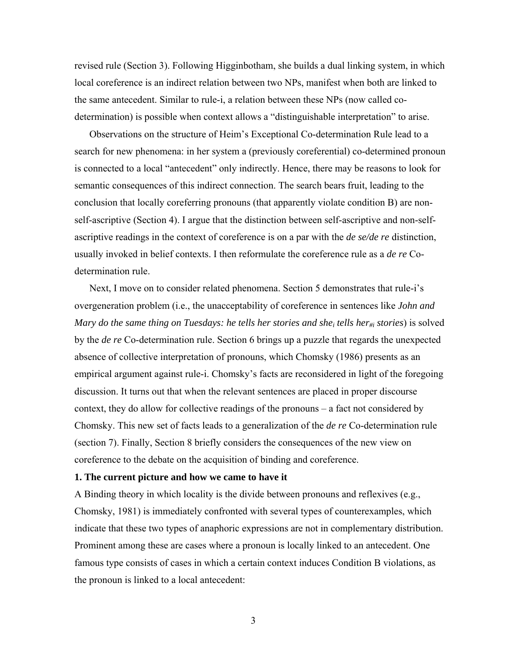revised rule (Section 3). Following Higginbotham, she builds a dual linking system, in which local coreference is an indirect relation between two NPs, manifest when both are linked to the same antecedent. Similar to rule-i, a relation between these NPs (now called codetermination) is possible when context allows a "distinguishable interpretation" to arise.

Observations on the structure of Heim's Exceptional Co-determination Rule lead to a search for new phenomena: in her system a (previously coreferential) co-determined pronoun is connected to a local "antecedent" only indirectly. Hence, there may be reasons to look for semantic consequences of this indirect connection. The search bears fruit, leading to the conclusion that locally coreferring pronouns (that apparently violate condition B) are nonself-ascriptive (Section 4). I argue that the distinction between self-ascriptive and non-selfascriptive readings in the context of coreference is on a par with the *de se/de re* distinction, usually invoked in belief contexts. I then reformulate the coreference rule as a *de re* Codetermination rule.

Next, I move on to consider related phenomena. Section 5 demonstrates that rule-i's overgeneration problem (i.e., the unacceptability of coreference in sentences like *John and Mary do the same thing on Tuesdays: he tells her stories and she<sub>i</sub> tells her<sub>#i</sub> stories) is solved* by the *de re* Co-determination rule. Section 6 brings up a puzzle that regards the unexpected absence of collective interpretation of pronouns, which Chomsky (1986) presents as an empirical argument against rule-i. Chomsky's facts are reconsidered in light of the foregoing discussion. It turns out that when the relevant sentences are placed in proper discourse context, they do allow for collective readings of the pronouns – a fact not considered by Chomsky. This new set of facts leads to a generalization of the *de re* Co-determination rule (section 7). Finally, Section 8 briefly considers the consequences of the new view on coreference to the debate on the acquisition of binding and coreference.

#### **1. The current picture and how we came to have it**

A Binding theory in which locality is the divide between pronouns and reflexives (e.g., Chomsky, 1981) is immediately confronted with several types of counterexamples, which indicate that these two types of anaphoric expressions are not in complementary distribution. Prominent among these are cases where a pronoun is locally linked to an antecedent. One famous type consists of cases in which a certain context induces Condition B violations, as the pronoun is linked to a local antecedent:

3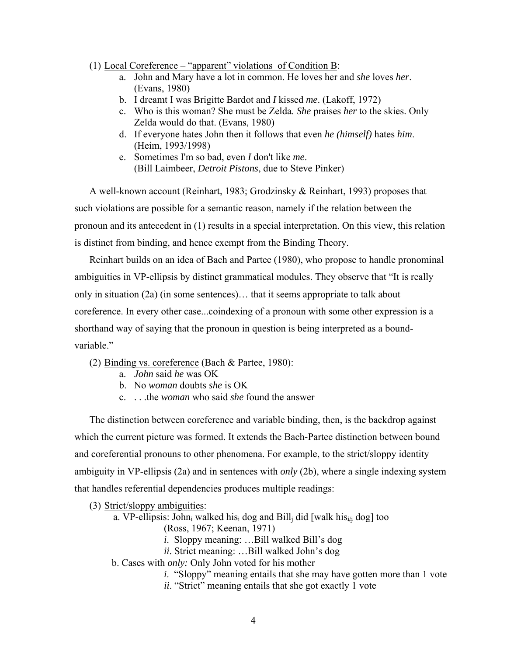### (1) Local Coreference – "apparent" violations of Condition B:

- a. John and Mary have a lot in common. He loves her and *she* loves *her*. (Evans, 1980)
- b. I dreamt I was Brigitte Bardot and *I* kissed *me*. (Lakoff, 1972)
- c. Who is this woman? She must be Zelda. *She* praises *her* to the skies. Only Zelda would do that. (Evans, 1980)
- d. If everyone hates John then it follows that even *he (himself)* hates *him*. (Heim, 1993/1998)
- e. Sometimes I'm so bad, even *I* don't like *me*. (Bill Laimbeer, *Detroit Pistons*, due to Steve Pinker)

A well-known account (Reinhart, 1983; Grodzinsky & Reinhart, 1993) proposes that such violations are possible for a semantic reason, namely if the relation between the pronoun and its antecedent in (1) results in a special interpretation. On this view, this relation is distinct from binding, and hence exempt from the Binding Theory.

Reinhart builds on an idea of Bach and Partee (1980), who propose to handle pronominal ambiguities in VP-ellipsis by distinct grammatical modules. They observe that "It is really only in situation (2a) (in some sentences)… that it seems appropriate to talk about coreference. In every other case...coindexing of a pronoun with some other expression is a shorthand way of saying that the pronoun in question is being interpreted as a boundvariable."

- (2) Binding vs. coreference (Bach & Partee, 1980):
	- a. *John* said *he* was OK
	- b. No *woman* doubts *she* is OK
	- c. . . .the *woman* who said *she* found the answer

The distinction between coreference and variable binding, then, is the backdrop against which the current picture was formed. It extends the Bach-Partee distinction between bound and coreferential pronouns to other phenomena. For example, to the strict/sloppy identity ambiguity in VP-ellipsis (2a) and in sentences with *only* (2b), where a single indexing system that handles referential dependencies produces multiple readings:

- (3) Strict/sloppy ambiguities:
	- a. VP-ellipsis: John<sub>i</sub> walked his<sub>i</sub> dog and Bill<sub>i</sub> did [walk his<sub>i4</sub> dog] too
		- (Ross, 1967; Keenan, 1971)
		- *i*. Sloppy meaning: …Bill walked Bill's dog
		- *ii*. Strict meaning: ...Bill walked John's dog
	- b. Cases with *only:* Only John voted for his mother
		- *i*. "Sloppy" meaning entails that she may have gotten more than 1 vote
		- *ii*. "Strict" meaning entails that she got exactly 1 vote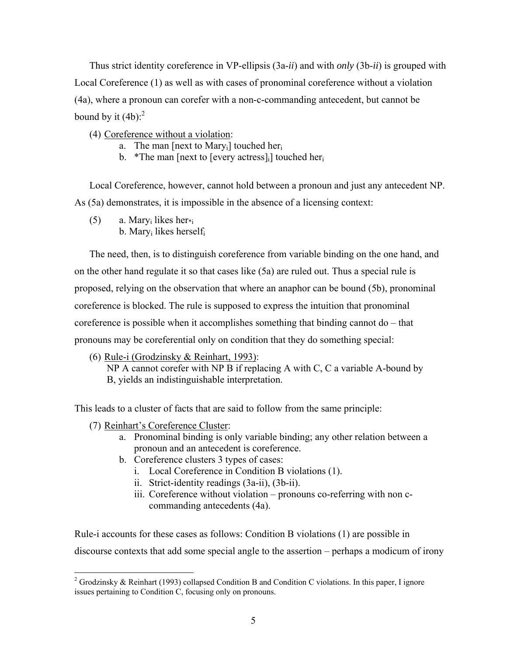Thus strict identity coreference in VP-ellipsis (3a-*ii*) and with *only* (3b-*ii*) is grouped with Local Coreference (1) as well as with cases of pronominal coreference without a violation (4a), where a pronoun can corefer with a non-c-commanding antecedent, but cannot be bound by it  $(4b)$ :<sup>2</sup>

- (4) Coreference without a violation:
	- a. The man [next to Mary<sub>i</sub>] touched her<sub>i</sub>
	- b. \*The man [next to [every actress] [buched here i

Local Coreference, however, cannot hold between a pronoun and just any antecedent NP. As (5a) demonstrates, it is impossible in the absence of a licensing context:

(5) a. Mary<sub>i</sub> likes her $_{i}$ b. Maryi likes herselfi

The need, then, is to distinguish coreference from variable binding on the one hand, and on the other hand regulate it so that cases like (5a) are ruled out. Thus a special rule is proposed, relying on the observation that where an anaphor can be bound (5b), pronominal coreference is blocked. The rule is supposed to express the intuition that pronominal coreference is possible when it accomplishes something that binding cannot do – that pronouns may be coreferential only on condition that they do something special:

(6) Rule-i (Grodzinsky & Reinhart, 1993):

 NP A cannot corefer with NP B if replacing A with C, C a variable A-bound by B, yields an indistinguishable interpretation.

This leads to a cluster of facts that are said to follow from the same principle:

(7) Reinhart's Coreference Cluster:

 $\overline{a}$ 

- a. Pronominal binding is only variable binding; any other relation between a pronoun and an antecedent is coreference.
- b. Coreference clusters 3 types of cases:
	- i. Local Coreference in Condition B violations (1).
	- ii. Strict-identity readings (3a-ii), (3b-ii).
	- iii. Coreference without violation pronouns co-referring with non ccommanding antecedents (4a).

Rule-i accounts for these cases as follows: Condition B violations (1) are possible in discourse contexts that add some special angle to the assertion – perhaps a modicum of irony

<sup>&</sup>lt;sup>2</sup> Grodzinsky & Reinhart (1993) collapsed Condition B and Condition C violations. In this paper, I ignore issues pertaining to Condition C, focusing only on pronouns.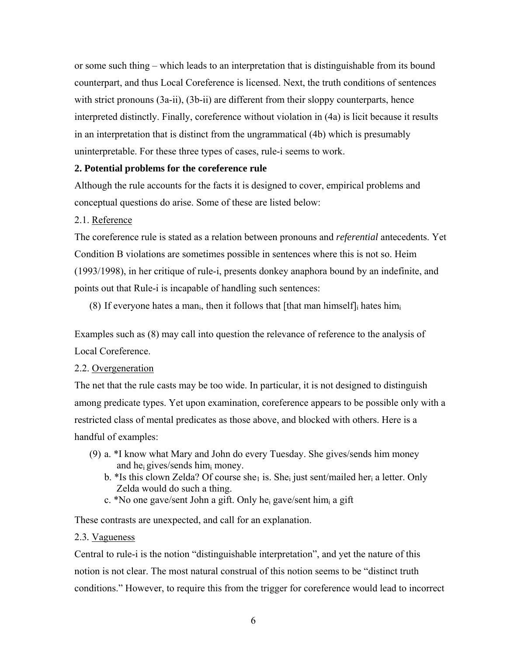or some such thing – which leads to an interpretation that is distinguishable from its bound counterpart, and thus Local Coreference is licensed. Next, the truth conditions of sentences with strict pronouns (3a-ii), (3b-ii) are different from their sloppy counterparts, hence interpreted distinctly. Finally, coreference without violation in (4a) is licit because it results in an interpretation that is distinct from the ungrammatical (4b) which is presumably uninterpretable. For these three types of cases, rule-i seems to work.

# **2. Potential problems for the coreference rule**

Although the rule accounts for the facts it is designed to cover, empirical problems and conceptual questions do arise. Some of these are listed below:

# 2.1. Reference

The coreference rule is stated as a relation between pronouns and *referential* antecedents. Yet Condition B violations are sometimes possible in sentences where this is not so. Heim (1993/1998), in her critique of rule-i, presents donkey anaphora bound by an indefinite, and points out that Rule-i is incapable of handling such sentences:

(8) If everyone hates a man<sub>i</sub>, then it follows that [that man himself] hates him

Examples such as (8) may call into question the relevance of reference to the analysis of Local Coreference.

# 2.2. Overgeneration

The net that the rule casts may be too wide. In particular, it is not designed to distinguish among predicate types. Yet upon examination, coreference appears to be possible only with a restricted class of mental predicates as those above, and blocked with others. Here is a handful of examples:

- (9) a. \*I know what Mary and John do every Tuesday. She gives/sends him money and hei gives/sends himi money.
	- b. \*Is this clown Zelda? Of course she<sub>1</sub> is. She<sub>i</sub> just sent/mailed her<sub>i</sub> a letter. Only Zelda would do such a thing.
	- c. \*No one gave/sent John a gift. Only hei gave/sent himi a gift

These contrasts are unexpected, and call for an explanation.

# 2.3*.* Vagueness

Central to rule-i is the notion "distinguishable interpretation", and yet the nature of this notion is not clear. The most natural construal of this notion seems to be "distinct truth conditions." However, to require this from the trigger for coreference would lead to incorrect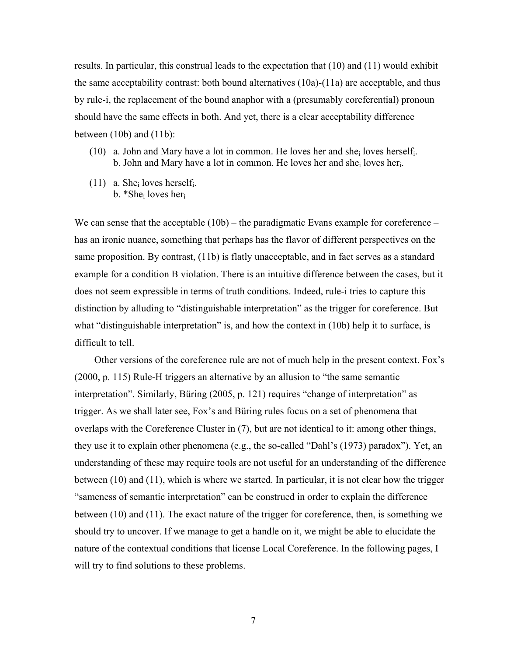results. In particular, this construal leads to the expectation that (10) and (11) would exhibit the same acceptability contrast: both bound alternatives  $(10a)-(11a)$  are acceptable, and thus by rule-i, the replacement of the bound anaphor with a (presumably coreferential) pronoun should have the same effects in both. And yet, there is a clear acceptability difference between  $(10b)$  and  $(11b)$ :

- (10) a. John and Mary have a lot in common. He loves her and she<sub>i</sub> loves herself. b. John and Mary have a lot in common. He loves her and she<sub>i</sub> loves her<sub>i</sub>.
- (11) a. Shei loves herselfi. b. \*She<sub>i</sub> loves her<sub>i</sub>

We can sense that the acceptable (10b) – the paradigmatic Evans example for coreference – has an ironic nuance, something that perhaps has the flavor of different perspectives on the same proposition. By contrast, (11b) is flatly unacceptable, and in fact serves as a standard example for a condition B violation. There is an intuitive difference between the cases, but it does not seem expressible in terms of truth conditions. Indeed, rule-i tries to capture this distinction by alluding to "distinguishable interpretation" as the trigger for coreference. But what "distinguishable interpretation" is, and how the context in (10b) help it to surface, is difficult to tell.

Other versions of the coreference rule are not of much help in the present context. Fox's (2000, p. 115) Rule-H triggers an alternative by an allusion to "the same semantic interpretation". Similarly, Büring (2005, p. 121) requires "change of interpretation" as trigger. As we shall later see, Fox's and Büring rules focus on a set of phenomena that overlaps with the Coreference Cluster in (7), but are not identical to it: among other things, they use it to explain other phenomena (e.g., the so-called "Dahl's (1973) paradox"). Yet, an understanding of these may require tools are not useful for an understanding of the difference between (10) and (11), which is where we started. In particular, it is not clear how the trigger "sameness of semantic interpretation" can be construed in order to explain the difference between (10) and (11). The exact nature of the trigger for coreference, then, is something we should try to uncover. If we manage to get a handle on it, we might be able to elucidate the nature of the contextual conditions that license Local Coreference. In the following pages, I will try to find solutions to these problems.

7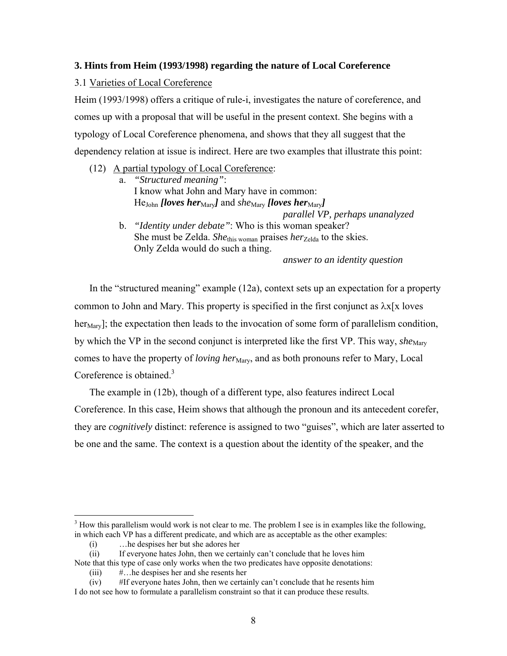### **3. Hints from Heim (1993/1998) regarding the nature of Local Coreference**

3.1 Varieties of Local Coreference

Heim (1993/1998) offers a critique of rule-i, investigates the nature of coreference, and comes up with a proposal that will be useful in the present context. She begins with a typology of Local Coreference phenomena, and shows that they all suggest that the dependency relation at issue is indirect. Here are two examples that illustrate this point:

- (12) A partial typology of Local Coreference:
	- a. *"Structured meaning"*: I know what John and Mary have in common: *He<sub>John</sub> [loves her*<sub>Mary</sub>] and *she<sub>Mary</sub> [loves her*<sub>Mary</sub>]  *parallel VP, perhaps unanalyzed*
	- b. *"Identity under debate"*: Who is this woman speaker? She must be Zelda. *She*this woman praises *her*<sub>Zelda</sub> to the skies. Only Zelda would do such a thing.

*answer to an identity question* 

In the "structured meaning" example (12a), context sets up an expectation for a property common to John and Mary. This property is specified in the first conjunct as  $\lambda x$ [x loves] her<sub>Mary</sub>]; the expectation then leads to the invocation of some form of parallelism condition, by which the VP in the second conjunct is interpreted like the first VP. This way, *she*<sub>Mary</sub> comes to have the property of *loving her*<sub>Mary</sub>, and as both pronouns refer to Mary, Local Coreference is obtained.<sup>3</sup>

The example in (12b), though of a different type, also features indirect Local Coreference. In this case, Heim shows that although the pronoun and its antecedent corefer, they are *cognitively* distinct: reference is assigned to two "guises", which are later asserted to be one and the same. The context is a question about the identity of the speaker, and the

1

 $3$  How this parallelism would work is not clear to me. The problem I see is in examples like the following, in which each VP has a different predicate, and which are as acceptable as the other examples:

<sup>(</sup>i) …he despises her but she adores her

<sup>(</sup>ii) If everyone hates John, then we certainly can't conclude that he loves him

Note that this type of case only works when the two predicates have opposite denotations:

<sup>(</sup>iii) #…he despises her and she resents her

<sup>(</sup>iv) #If everyone hates John, then we certainly can't conclude that he resents him I do not see how to formulate a parallelism constraint so that it can produce these results.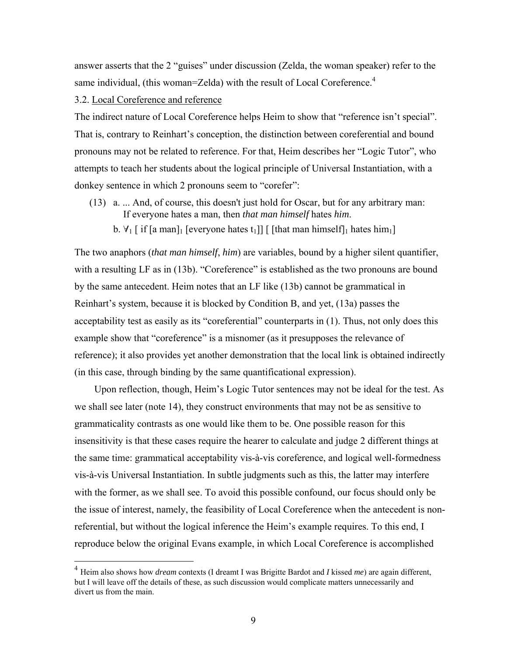answer asserts that the 2 "guises" under discussion (Zelda, the woman speaker) refer to the same individual, (this woman=Zelda) with the result of Local Coreference.<sup>4</sup>

3.2. Local Coreference and reference

 $\overline{a}$ 

The indirect nature of Local Coreference helps Heim to show that "reference isn't special". That is, contrary to Reinhart's conception, the distinction between coreferential and bound pronouns may not be related to reference. For that, Heim describes her "Logic Tutor", who attempts to teach her students about the logical principle of Universal Instantiation, with a donkey sentence in which 2 pronouns seem to "corefer":

- (13) a. ... And, of course, this doesn't just hold for Oscar, but for any arbitrary man: If everyone hates a man, then *that man himself* hates *him*.
	- b.  $\forall$ <sub>1</sub> [ if [a man]<sub>1</sub> [everyone hates t<sub>1</sub>]] [ [that man himself]<sub>1</sub> hates him<sub>1</sub>]

The two anaphors (*that man himself*, *him*) are variables, bound by a higher silent quantifier, with a resulting LF as in (13b). "Coreference" is established as the two pronouns are bound by the same antecedent. Heim notes that an LF like (13b) cannot be grammatical in Reinhart's system, because it is blocked by Condition B, and yet, (13a) passes the acceptability test as easily as its "coreferential" counterparts in (1). Thus, not only does this example show that "coreference" is a misnomer (as it presupposes the relevance of reference); it also provides yet another demonstration that the local link is obtained indirectly (in this case, through binding by the same quantificational expression).

Upon reflection, though, Heim's Logic Tutor sentences may not be ideal for the test. As we shall see later (note 14), they construct environments that may not be as sensitive to grammaticality contrasts as one would like them to be. One possible reason for this insensitivity is that these cases require the hearer to calculate and judge 2 different things at the same time: grammatical acceptability vis-à-vis coreference, and logical well-formedness vis-à-vis Universal Instantiation. In subtle judgments such as this, the latter may interfere with the former, as we shall see. To avoid this possible confound, our focus should only be the issue of interest, namely, the feasibility of Local Coreference when the antecedent is nonreferential, but without the logical inference the Heim's example requires. To this end, I reproduce below the original Evans example, in which Local Coreference is accomplished

<sup>4</sup> Heim also shows how *dream* contexts (I dreamt I was Brigitte Bardot and *I* kissed *me*) are again different, but I will leave off the details of these, as such discussion would complicate matters unnecessarily and divert us from the main.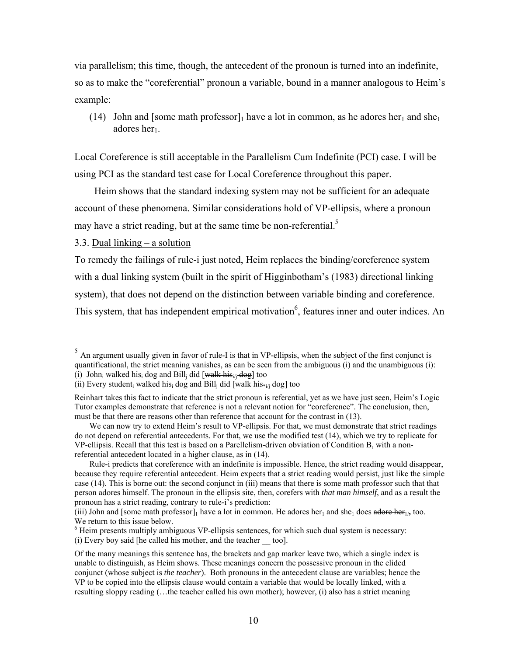via parallelism; this time, though, the antecedent of the pronoun is turned into an indefinite, so as to make the "coreferential" pronoun a variable, bound in a manner analogous to Heim's example:

(14) John and [some math professor]<sub>1</sub> have a lot in common, as he adores her<sub>1</sub> and she<sub>1</sub> adores her<sub>1</sub>.

Local Coreference is still acceptable in the Parallelism Cum Indefinite (PCI) case. I will be using PCI as the standard test case for Local Coreference throughout this paper.

Heim shows that the standard indexing system may not be sufficient for an adequate account of these phenomena. Similar considerations hold of VP-ellipsis, where a pronoun may have a strict reading, but at the same time be non-referential.<sup>5</sup>

#### 3.3. Dual linking – a solution

 $\overline{a}$ 

To remedy the failings of rule-i just noted, Heim replaces the binding/coreference system with a dual linking system (built in the spirit of Higginbotham's (1983) directional linking system), that does not depend on the distinction between variable binding and coreference. This system, that has independent empirical motivation<sup>6</sup>, features inner and outer indices. An

 $<sup>5</sup>$  An argument usually given in favor of rule-I is that in VP-ellipsis, when the subject of the first conjunct is</sup> quantificational, the strict meaning vanishes, as can be seen from the ambiguous (i) and the unambiguous (i): (i) John, walked his, dog and Bill, did  $[walk his]_i$  dog] too

<sup>(</sup>ii) Every student, walked his, dog and Bill, did  $\overline{[walk \; his*_{i,j} \; dog]}$  too

Reinhart takes this fact to indicate that the strict pronoun is referential, yet as we have just seen, Heim's Logic Tutor examples demonstrate that reference is not a relevant notion for "coreference". The conclusion, then, must be that there are reasons other than reference that account for the contrast in (13).

We can now try to extend Heim's result to VP-ellipsis. For that, we must demonstrate that strict readings do not depend on referential antecedents. For that, we use the modified test (14), which we try to replicate for VP-ellipsis. Recall that this test is based on a Parellelism-driven obviation of Condition B, with a nonreferential antecedent located in a higher clause, as in (14).

Rule-i predicts that coreference with an indefinite is impossible. Hence, the strict reading would disappear, because they require referential antecedent. Heim expects that a strict reading would persist, just like the simple case (14). This is borne out: the second conjunct in (iii) means that there is some math professor such that that person adores himself. The pronoun in the ellipsis site, then, corefers with *that man himself*, and as a result the pronoun has a strict reading, contrary to rule-i's prediction:

<sup>(</sup>iii) John and [some math professor]<sub>1</sub> have a lot in common. He adores her<sub>1</sub> and she<sub>1</sub> does adore her<sub>1/</sub>, too. We return to this issue below.

 $6$  Heim presents multiply ambiguous VP-ellipsis sentences, for which such dual system is necessary: (i) Every boy said [he called his mother, and the teacher \_\_ too].

Of the many meanings this sentence has, the brackets and gap marker leave two, which a single index is unable to distinguish, as Heim shows. These meanings concern the possessive pronoun in the elided conjunct (whose subject is *the teacher*). Both pronouns in the antecedent clause are variables; hence the VP to be copied into the ellipsis clause would contain a variable that would be locally linked, with a resulting sloppy reading (…the teacher called his own mother); however, (i) also has a strict meaning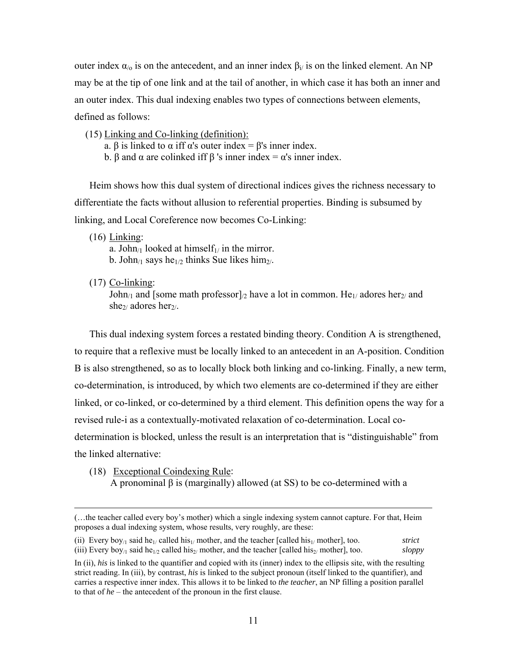outer index  $α<sub>0</sub>$  is on the antecedent, and an inner index  $β<sub>i</sub>$  is on the linked element. An NP may be at the tip of one link and at the tail of another, in which case it has both an inner and an outer index. This dual indexing enables two types of connections between elements, defined as follows:

- (15) Linking and Co-linking (definition):
	- a.  $\beta$  is linked to  $\alpha$  iff  $\alpha$ 's outer index =  $\beta$ 's inner index.
	- b. β and  $\alpha$  are colinked iff  $\beta$  's inner index =  $\alpha$ 's inner index.

Heim shows how this dual system of directional indices gives the richness necessary to differentiate the facts without allusion to referential properties. Binding is subsumed by linking, and Local Coreference now becomes Co-Linking:

(16) Linking:

a. John<sub>/1</sub> looked at himself<sub>1/</sub> in the mirror. b. John<sub>/1</sub> says he<sub>1/2</sub> thinks Sue likes him<sub>2/</sub>.

(17) Co-linking:

John<sub>/1</sub> and [some math professor]<sub>/2</sub> have a lot in common. He<sub>1/</sub> adores her<sub>2/</sub> and she $\frac{1}{2}$  adores her<sub>2</sub>/.

This dual indexing system forces a restated binding theory. Condition A is strengthened, to require that a reflexive must be locally linked to an antecedent in an A-position. Condition B is also strengthened, so as to locally block both linking and co-linking. Finally, a new term, co-determination, is introduced, by which two elements are co-determined if they are either linked, or co-linked, or co-determined by a third element. This definition opens the way for a revised rule-i as a contextually-motivated relaxation of co-determination. Local codetermination is blocked, unless the result is an interpretation that is "distinguishable" from the linked alternative:

(18) Exceptional Coindexing Rule: A pronominal β is (marginally) allowed (at SS) to be co-determined with a

 <sup>(…</sup>the teacher called every boy's mother) which a single indexing system cannot capture. For that, Heim proposes a dual indexing system, whose results, very roughly, are these:

<sup>(</sup>ii) Every boy<sub>/1</sub> said he<sub>1/</sub> called his<sub>1/</sub> mother, and the teacher [called his<sub>1/</sub> mother], too. *strict* (iii) Every boy<sub>/1</sub> said he<sub>1/2</sub> called his<sub>2/</sub> mother, and the teacher [called his<sub>2/</sub> mother], too. *sloppy* 

In (ii), *his* is linked to the quantifier and copied with its (inner) index to the ellipsis site, with the resulting strict reading. In (iii), by contrast, *his* is linked to the subject pronoun (itself linked to the quantifier), and carries a respective inner index. This allows it to be linked to *the teacher*, an NP filling a position parallel to that of *he* – the antecedent of the pronoun in the first clause.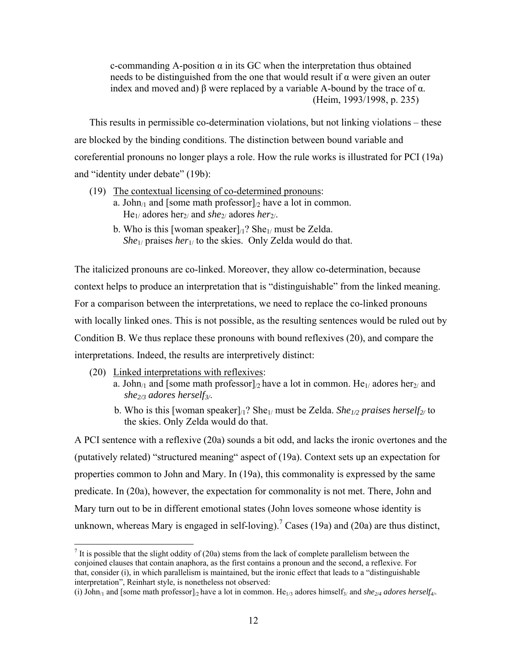c-commanding A-position α in its GC when the interpretation thus obtained needs to be distinguished from the one that would result if  $\alpha$  were given an outer index and moved and)  $\beta$  were replaced by a variable A-bound by the trace of  $\alpha$ . (Heim, 1993/1998, p. 235)

This results in permissible co-determination violations, but not linking violations – these are blocked by the binding conditions. The distinction between bound variable and coreferential pronouns no longer plays a role. How the rule works is illustrated for PCI (19a) and "identity under debate" (19b):

- (19) The contextual licensing of co-determined pronouns:
	- a. John<sub>/1</sub> and [some math professor]<sub>/2</sub> have a lot in common. He1/ adores her2/ and *she*2/ adores *her*2/.
	- b. Who is this [woman speaker] $\alpha$ ? She<sub>1/</sub> must be Zelda. *She*1/ praises *her*1/ to the skies. Only Zelda would do that.

The italicized pronouns are co-linked. Moreover, they allow co-determination, because context helps to produce an interpretation that is "distinguishable" from the linked meaning. For a comparison between the interpretations, we need to replace the co-linked pronouns with locally linked ones. This is not possible, as the resulting sentences would be ruled out by Condition B. We thus replace these pronouns with bound reflexives (20), and compare the interpretations. Indeed, the results are interpretively distinct:

- (20) Linked interpretations with reflexives:
	- a. John<sub>/1</sub> and [some math professor]<sub>/2</sub> have a lot in common. He<sub>1/</sub> adores her<sub>2/</sub> and *she2/3 adores herself3/*.
	- b. Who is this [woman speaker] $\frac{1}{2}$ ? She<sub>1/</sub> must be Zelda. *She<sub>1/2</sub> praises herself<sub>2/</sub>* to the skies. Only Zelda would do that.

A PCI sentence with a reflexive (20a) sounds a bit odd, and lacks the ironic overtones and the (putatively related) "structured meaning" aspect of (19a). Context sets up an expectation for properties common to John and Mary. In (19a), this commonality is expressed by the same predicate. In (20a), however, the expectation for commonality is not met. There, John and Mary turn out to be in different emotional states (John loves someone whose identity is unknown, whereas Mary is engaged in self-loving).<sup>7</sup> Cases (19a) and (20a) are thus distinct,

<sup>&</sup>lt;sup>7</sup> It is possible that the slight oddity of (20a) stems from the lack of complete parallelism between the conjoined clauses that contain anaphora, as the first contains a pronoun and the second, a reflexive. For that, consider (i), in which parallelism is maintained, but the ironic effect that leads to a "distinguishable interpretation", Reinhart style, is nonetheless not observed:

<sup>(</sup>i) John<sub>/1</sub> and [some math professor]<sub>/2</sub> have a lot in common. He<sub>1/3</sub> adores himself<sub>3</sub>/ and *she<sub>2/4</sub> adores herself<sub>4/</sub>*.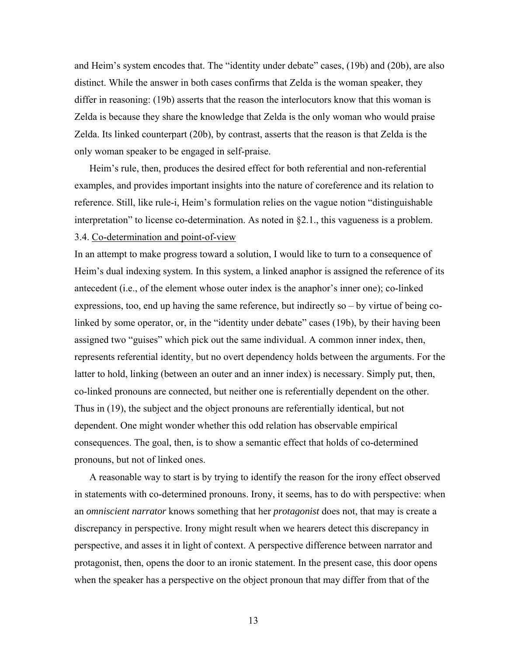and Heim's system encodes that. The "identity under debate" cases, (19b) and (20b), are also distinct. While the answer in both cases confirms that Zelda is the woman speaker, they differ in reasoning: (19b) asserts that the reason the interlocutors know that this woman is Zelda is because they share the knowledge that Zelda is the only woman who would praise Zelda. Its linked counterpart (20b), by contrast, asserts that the reason is that Zelda is the only woman speaker to be engaged in self-praise.

Heim's rule, then, produces the desired effect for both referential and non-referential examples, and provides important insights into the nature of coreference and its relation to reference. Still, like rule-i, Heim's formulation relies on the vague notion "distinguishable interpretation" to license co-determination. As noted in §2.1., this vagueness is a problem. 3.4. Co-determination and point-of-view

In an attempt to make progress toward a solution, I would like to turn to a consequence of Heim's dual indexing system. In this system, a linked anaphor is assigned the reference of its antecedent (i.e., of the element whose outer index is the anaphor's inner one); co-linked expressions, too, end up having the same reference, but indirectly so – by virtue of being colinked by some operator, or, in the "identity under debate" cases (19b), by their having been assigned two "guises" which pick out the same individual. A common inner index, then, represents referential identity, but no overt dependency holds between the arguments. For the latter to hold, linking (between an outer and an inner index) is necessary. Simply put, then, co-linked pronouns are connected, but neither one is referentially dependent on the other. Thus in (19), the subject and the object pronouns are referentially identical, but not dependent. One might wonder whether this odd relation has observable empirical consequences. The goal, then, is to show a semantic effect that holds of co-determined pronouns, but not of linked ones.

A reasonable way to start is by trying to identify the reason for the irony effect observed in statements with co-determined pronouns. Irony, it seems, has to do with perspective: when an *omniscient narrator* knows something that her *protagonist* does not, that may is create a discrepancy in perspective. Irony might result when we hearers detect this discrepancy in perspective, and asses it in light of context. A perspective difference between narrator and protagonist, then, opens the door to an ironic statement. In the present case, this door opens when the speaker has a perspective on the object pronoun that may differ from that of the

13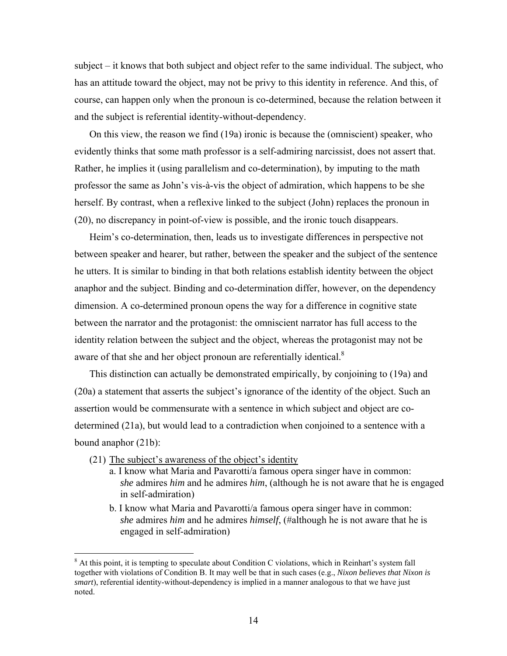subject – it knows that both subject and object refer to the same individual. The subject, who has an attitude toward the object, may not be privy to this identity in reference. And this, of course, can happen only when the pronoun is co-determined, because the relation between it and the subject is referential identity-without-dependency.

On this view, the reason we find (19a) ironic is because the (omniscient) speaker, who evidently thinks that some math professor is a self-admiring narcissist, does not assert that. Rather, he implies it (using parallelism and co-determination), by imputing to the math professor the same as John's vis-à-vis the object of admiration, which happens to be she herself. By contrast, when a reflexive linked to the subject (John) replaces the pronoun in (20), no discrepancy in point-of-view is possible, and the ironic touch disappears.

Heim's co-determination, then, leads us to investigate differences in perspective not between speaker and hearer, but rather, between the speaker and the subject of the sentence he utters. It is similar to binding in that both relations establish identity between the object anaphor and the subject. Binding and co-determination differ, however, on the dependency dimension. A co-determined pronoun opens the way for a difference in cognitive state between the narrator and the protagonist: the omniscient narrator has full access to the identity relation between the subject and the object, whereas the protagonist may not be aware of that she and her object pronoun are referentially identical. $8$ 

This distinction can actually be demonstrated empirically, by conjoining to (19a) and (20a) a statement that asserts the subject's ignorance of the identity of the object. Such an assertion would be commensurate with a sentence in which subject and object are codetermined (21a), but would lead to a contradiction when conjoined to a sentence with a bound anaphor (21b):

- (21) The subject's awareness of the object's identity
	- a. I know what Maria and Pavarotti/a famous opera singer have in common: *she* admires *him* and he admires *him*, (although he is not aware that he is engaged in self-admiration)
	- b. I know what Maria and Pavarotti/a famous opera singer have in common: *she* admires *him* and he admires *himself*, (#although he is not aware that he is engaged in self-admiration)

<sup>&</sup>lt;sup>8</sup> At this point, it is tempting to speculate about Condition C violations, which in Reinhart's system fall together with violations of Condition B. It may well be that in such cases (e.g., *Nixon believes that Nixon is smart*), referential identity-without-dependency is implied in a manner analogous to that we have just noted.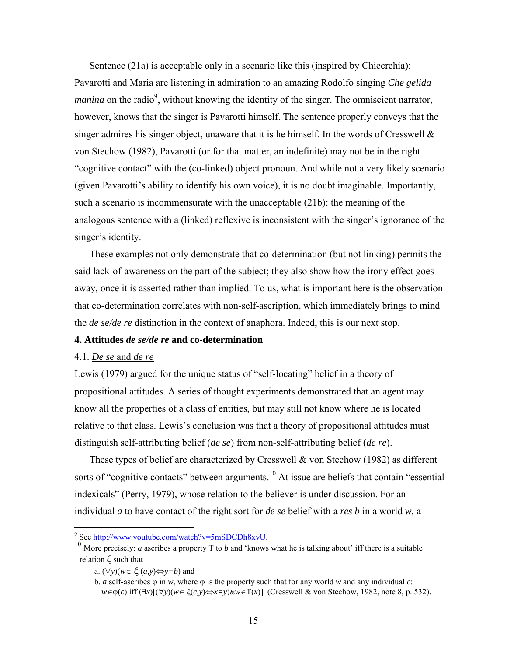Sentence (21a) is acceptable only in a scenario like this (inspired by Chiecrchia): Pavarotti and Maria are listening in admiration to an amazing Rodolfo singing *Che gelida manina* on the radio<sup>9</sup>, without knowing the identity of the singer. The omniscient narrator, however, knows that the singer is Pavarotti himself. The sentence properly conveys that the singer admires his singer object, unaware that it is he himself. In the words of Cresswell  $\&$ von Stechow (1982), Pavarotti (or for that matter, an indefinite) may not be in the right "cognitive contact" with the (co-linked) object pronoun. And while not a very likely scenario (given Pavarotti's ability to identify his own voice), it is no doubt imaginable. Importantly, such a scenario is incommensurate with the unacceptable (21b): the meaning of the analogous sentence with a (linked) reflexive is inconsistent with the singer's ignorance of the singer's identity.

These examples not only demonstrate that co-determination (but not linking) permits the said lack-of-awareness on the part of the subject; they also show how the irony effect goes away, once it is asserted rather than implied. To us, what is important here is the observation that co-determination correlates with non-self-ascription, which immediately brings to mind the *de se/de re* distinction in the context of anaphora. Indeed, this is our next stop.

### **4. Attitudes** *de se/de re* **and co-determination**

### 4.1. *De se* and *de re*

Lewis (1979) argued for the unique status of "self-locating" belief in a theory of propositional attitudes. A series of thought experiments demonstrated that an agent may know all the properties of a class of entities, but may still not know where he is located relative to that class. Lewis's conclusion was that a theory of propositional attitudes must distinguish self-attributing belief (*de se*) from non-self-attributing belief (*de re*).

These types of belief are characterized by Cresswell & von Stechow (1982) as different sorts of "cognitive contacts" between arguments.<sup>10</sup> At issue are beliefs that contain "essential" indexicals" (Perry, 1979), whose relation to the believer is under discussion. For an individual *a* to have contact of the right sort for *de se* belief with a *res b* in a world *w*, a

<sup>-&</sup>lt;br>9

<sup>&</sup>lt;sup>10</sup> More precisely: *a* ascribes a property T to *b* and 'knows what he is talking about' iff there is a suitable relation ξ such that

a. (∀*y*)(*w*∈ ξ (*a,y*)⇔*y=b*) and

b. *a* self-ascribes ϕ in *w*, where ϕ is the property such that for any world *w* and any individual *c*:  *w*∈ϕ(*c*) iff (∃*x*)[(∀*y*)(*w*∈ ξ(*c,y*)⇔*x=y*)&*w*∈Τ(*x*)] (Cresswell & von Stechow, 1982, note 8, p. 532).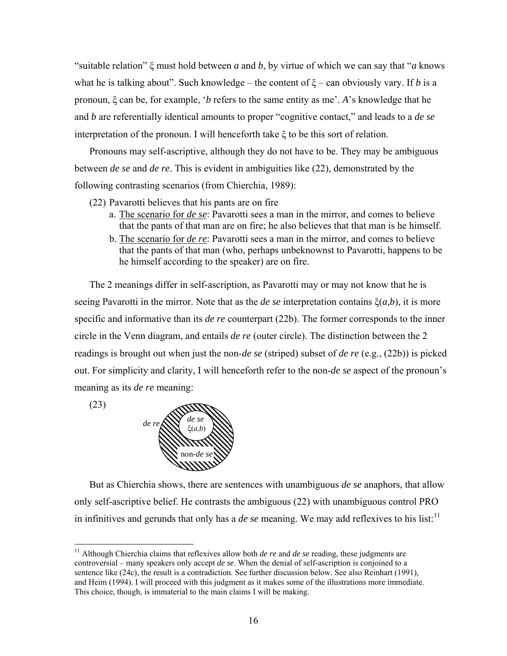"suitable relation" ξ must hold between *a* and *b*, by virtue of which we can say that "*a* knows what he is talking about". Such knowledge – the content of  $\xi$  – can obviously vary. If *b* is a pronoun, ξ can be, for example, '*b* refers to the same entity as me'. *A*'s knowledge that he and *b* are referentially identical amounts to proper "cognitive contact," and leads to a *de se* interpretation of the pronoun. I will henceforth take ξ to be this sort of relation.

Pronouns may self-ascriptive, although they do not have to be. They may be ambiguous between *de se* and *de re*. This is evident in ambiguities like (22), demonstrated by the following contrasting scenarios (from Chierchia, 1989):

- (22) Pavarotti believes that his pants are on fire
	- a. The scenario for *de se*: Pavarotti sees a man in the mirror, and comes to believe that the pants of that man are on fire; he also believes that that man is he himself.
	- b. The scenario for *de re*: Pavarotti sees a man in the mirror, and comes to believe that the pants of that man (who, perhaps unbeknownst to Pavarotti, happens to be he himself according to the speaker) are on fire.

The 2 meanings differ in self-ascription, as Pavarotti may or may not know that he is seeing Pavarotti in the mirror. Note that as the *de se* interpretation contains ξ(*a,b*), it is more specific and informative than its *de re* counterpart (22b). The former corresponds to the inner circle in the Venn diagram, and entails *de re* (outer circle). The distinction between the 2 readings is brought out when just the non-*de se* (striped) subset of *de re* (e.g., (22b)) is picked out. For simplicity and clarity, I will henceforth refer to the non-*de se* aspect of the pronoun's meaning as its *de re* meaning:

(23)

 $\overline{a}$ 



But as Chierchia shows, there are sentences with unambiguous *de se* anaphors, that allow only self-ascriptive belief. He contrasts the ambiguous (22) with unambiguous control PRO in infinitives and gerunds that only has a  $de$  se meaning. We may add reflexives to his list:<sup>11</sup>

<sup>&</sup>lt;sup>11</sup> Although Chierchia claims that reflexives allow both *de re* and *de se* reading, these judgments are controversial – many speakers only accept *de se*. When the denial of self-ascription is conjoined to a sentence like (24c), the result is a contradiction. See further discussion below. See also Reinhart (1991), and Heim (1994). I will proceed with this judgment as it makes some of the illustrations more immediate. This choice, though, is immaterial to the main claims I will be making.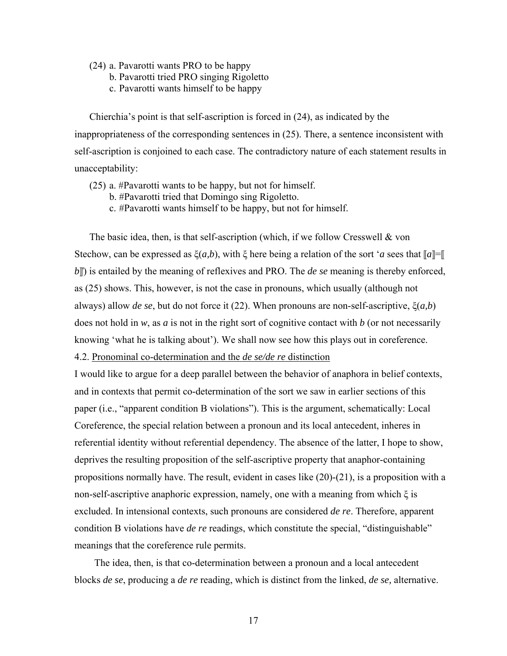- (24) a. Pavarotti wants PRO to be happy
	- b. Pavarotti tried PRO singing Rigoletto
	- c. Pavarotti wants himself to be happy

Chierchia's point is that self-ascription is forced in (24), as indicated by the inappropriateness of the corresponding sentences in (25). There, a sentence inconsistent with self-ascription is conjoined to each case. The contradictory nature of each statement results in unacceptability:

- (25) a. #Pavarotti wants to be happy, but not for himself.
	- b. #Pavarotti tried that Domingo sing Rigoletto.
	- c. #Pavarotti wants himself to be happy, but not for himself.

The basic idea, then, is that self-ascription (which, if we follow Cresswell & von Stechow, can be expressed as  $\xi(a,b)$ , with  $\xi$  here being a relation of the sort '*a* sees that  $\llbracket a \rrbracket = \llbracket$ *b* $\parallel$ ) is entailed by the meaning of reflexives and PRO. The *de se* meaning is thereby enforced, as (25) shows. This, however, is not the case in pronouns, which usually (although not always) allow *de se*, but do not force it (22). When pronouns are non-self-ascriptive, ξ(*a,b*) does not hold in *w*, as *a* is not in the right sort of cognitive contact with *b* (or not necessarily knowing 'what he is talking about'). We shall now see how this plays out in coreference.

4.2. Pronominal co-determination and the *de se/de re* distinction

I would like to argue for a deep parallel between the behavior of anaphora in belief contexts, and in contexts that permit co-determination of the sort we saw in earlier sections of this paper (i.e., "apparent condition B violations"). This is the argument, schematically: Local Coreference, the special relation between a pronoun and its local antecedent, inheres in referential identity without referential dependency. The absence of the latter, I hope to show, deprives the resulting proposition of the self-ascriptive property that anaphor-containing propositions normally have. The result, evident in cases like  $(20)-(21)$ , is a proposition with a non-self-ascriptive anaphoric expression, namely, one with a meaning from which ξ is excluded. In intensional contexts, such pronouns are considered *de re*. Therefore, apparent condition B violations have *de re* readings, which constitute the special, "distinguishable" meanings that the coreference rule permits.

The idea, then, is that co-determination between a pronoun and a local antecedent blocks *de se*, producing a *de re* reading, which is distinct from the linked, *de se,* alternative.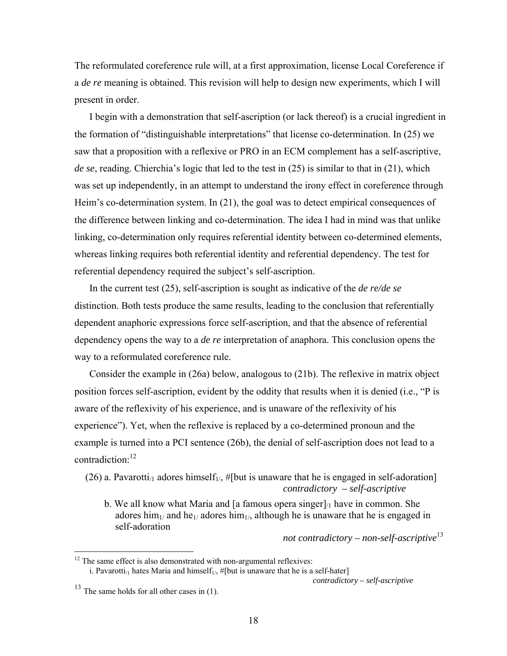The reformulated coreference rule will, at a first approximation, license Local Coreference if a *de re* meaning is obtained. This revision will help to design new experiments, which I will present in order.

I begin with a demonstration that self-ascription (or lack thereof) is a crucial ingredient in the formation of "distinguishable interpretations" that license co-determination. In (25) we saw that a proposition with a reflexive or PRO in an ECM complement has a self-ascriptive, *de se*, reading. Chierchia's logic that led to the test in (25) is similar to that in (21), which was set up independently, in an attempt to understand the irony effect in coreference through Heim's co-determination system. In (21), the goal was to detect empirical consequences of the difference between linking and co-determination. The idea I had in mind was that unlike linking, co-determination only requires referential identity between co-determined elements, whereas linking requires both referential identity and referential dependency. The test for referential dependency required the subject's self-ascription.

In the current test (25), self-ascription is sought as indicative of the *de re/de se* distinction. Both tests produce the same results, leading to the conclusion that referentially dependent anaphoric expressions force self-ascription, and that the absence of referential dependency opens the way to a *de re* interpretation of anaphora. This conclusion opens the way to a reformulated coreference rule.

Consider the example in (26a) below, analogous to (21b). The reflexive in matrix object position forces self-ascription, evident by the oddity that results when it is denied (i.e., "P is aware of the reflexivity of his experience, and is unaware of the reflexivity of his experience"). Yet, when the reflexive is replaced by a co-determined pronoun and the example is turned into a PCI sentence (26b), the denial of self-ascription does not lead to a contradiction:12

(26) a. Pavarotti<sub>/1</sub> adores himself<sub>1/</sub>, #[but is unaware that he is engaged in self-adoration] *contradictory – self-ascriptive* 

b. We all know what Maria and [a famous opera singer] $\mu$  have in common. She adores him<sub>1/</sub> and he<sub>1/</sub> adores him<sub>1/</sub>, although he is unaware that he is engaged in self-adoration

*not contradictory – non-self-ascriptive*<sup>13</sup>

i. Pavarotti<sub>/1</sub> hates Maria and himself<sub>1/</sub>, #[but is unaware that he is a self-hater]

*contradictory – self-ascriptive* 

<u>.</u>

 $12$  The same effect is also demonstrated with non-argumental reflexives:

 $13$  The same holds for all other cases in (1).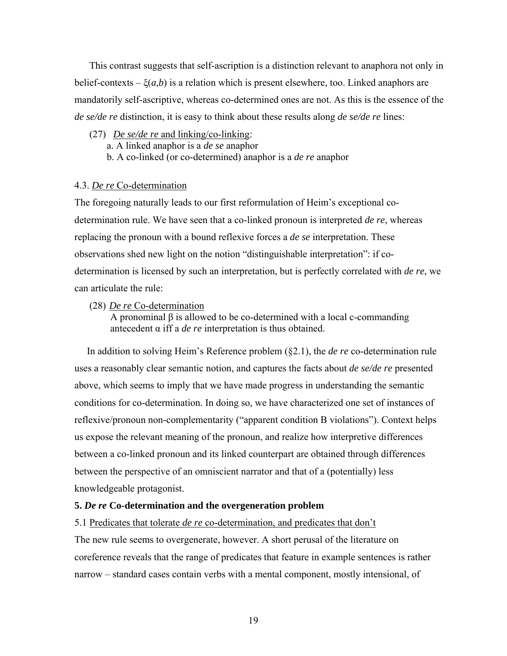This contrast suggests that self-ascription is a distinction relevant to anaphora not only in belief-contexts – ξ(*a,b*) is a relation which is present elsewhere, too. Linked anaphors are mandatorily self-ascriptive, whereas co-determined ones are not. As this is the essence of the *de se/de re* distinction, it is easy to think about these results along *de se/de re* lines:

- (27) *De se/de re* and linking/co-linking:
	- a. A linked anaphor is a *de se* anaphor
	- b. A co-linked (or co-determined) anaphor is a *de re* anaphor

#### 4.3. *De re* Co-determination

The foregoing naturally leads to our first reformulation of Heim's exceptional codetermination rule. We have seen that a co-linked pronoun is interpreted *de re*, whereas replacing the pronoun with a bound reflexive forces a *de se* interpretation. These observations shed new light on the notion "distinguishable interpretation": if codetermination is licensed by such an interpretation, but is perfectly correlated with *de re*, we can articulate the rule:

(28) *De re* Co-determination

A pronominal β is allowed to be co-determined with a local c-commanding antecedent α iff a *de re* interpretation is thus obtained.

 In addition to solving Heim's Reference problem (§2.1), the *de re* co-determination rule uses a reasonably clear semantic notion, and captures the facts about *de se/de re* presented above, which seems to imply that we have made progress in understanding the semantic conditions for co-determination. In doing so, we have characterized one set of instances of reflexive/pronoun non-complementarity ("apparent condition B violations"). Context helps us expose the relevant meaning of the pronoun, and realize how interpretive differences between a co-linked pronoun and its linked counterpart are obtained through differences between the perspective of an omniscient narrator and that of a (potentially) less knowledgeable protagonist.

#### **5.** *De re* **Co-determination and the overgeneration problem**

#### 5.1 Predicates that tolerate *de re* co-determination, and predicates that don't

The new rule seems to overgenerate, however. A short perusal of the literature on coreference reveals that the range of predicates that feature in example sentences is rather narrow – standard cases contain verbs with a mental component, mostly intensional, of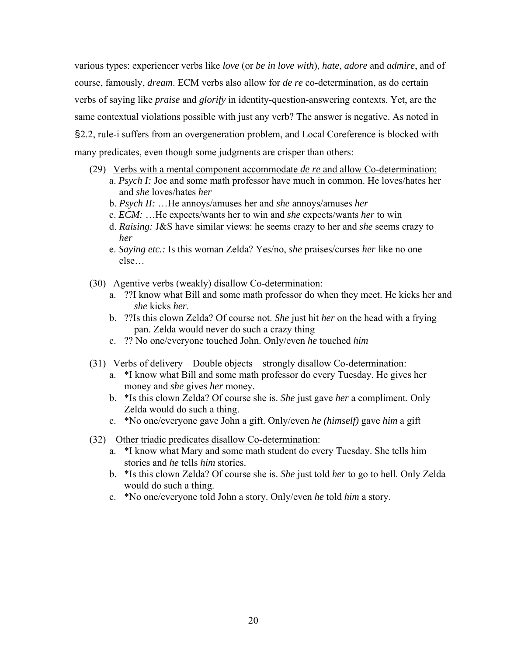various types: experiencer verbs like *love* (or *be in love with*), *hate*, *adore* and *admire*, and of course, famously, *dream*. ECM verbs also allow for *de re* co-determination, as do certain verbs of saying like *praise* and *glorify* in identity-question-answering contexts. Yet, are the same contextual violations possible with just any verb? The answer is negative. As noted in §2.2, rule-i suffers from an overgeneration problem, and Local Coreference is blocked with many predicates, even though some judgments are crisper than others:

- (29) Verbs with a mental component accommodate *de re* and allow Co-determination:
	- a. *Psych I:* Joe and some math professor have much in common. He loves/hates her and *she* loves/hates *her*
		- b. *Psych II:* …He annoys/amuses her and *she* annoys/amuses *her*
		- c. *ECM:* …He expects/wants her to win and *she* expects/wants *her* to win
		- d. *Raising:* J&S have similar views: he seems crazy to her and *she* seems crazy to *her*
		- e. *Saying etc.:* Is this woman Zelda? Yes/no, *she* praises/curses *her* like no one else…
- (30) Agentive verbs (weakly) disallow Co-determination:
	- a. ??I know what Bill and some math professor do when they meet. He kicks her and *she* kicks *her*.
	- b. ??Is this clown Zelda? Of course not. *She* just hit *her* on the head with a frying pan. Zelda would never do such a crazy thing
	- c. ?? No one/everyone touched John. Only/even *he* touched *him*
- (31) Verbs of delivery Double objects strongly disallow Co-determination:
	- a. \*I know what Bill and some math professor do every Tuesday. He gives her money and *she* gives *her* money.
	- b. \*Is this clown Zelda? Of course she is. *She* just gave *her* a compliment. Only Zelda would do such a thing.
	- c. \*No one/everyone gave John a gift. Only/even *he (himself)* gave *him* a gift
- (32) Other triadic predicates disallow Co-determination:
	- a. \*I know what Mary and some math student do every Tuesday. She tells him stories and *he* tells *him* stories.
	- b. \*Is this clown Zelda? Of course she is. *She* just told *her* to go to hell. Only Zelda would do such a thing.
	- c. \*No one/everyone told John a story. Only/even *he* told *him* a story.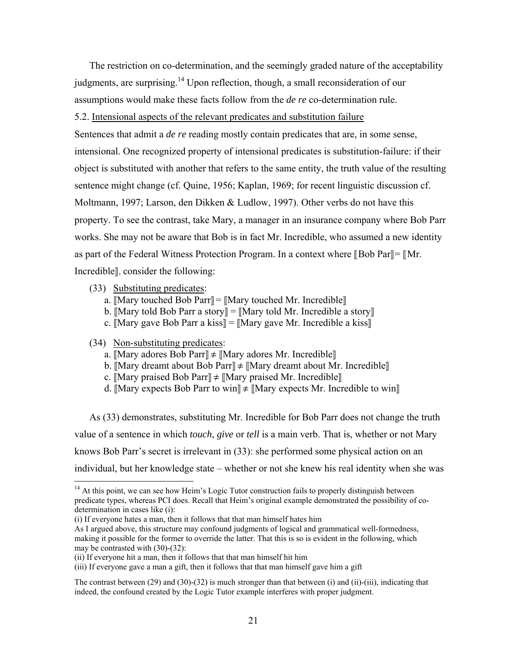The restriction on co-determination, and the seemingly graded nature of the acceptability judgments, are surprising.<sup>14</sup> Upon reflection, though, a small reconsideration of our assumptions would make these facts follow from the *de re* co-determination rule.

5.2. Intensional aspects of the relevant predicates and substitution failure

Sentences that admit a *de re* reading mostly contain predicates that are, in some sense, intensional. One recognized property of intensional predicates is substitution-failure: if their object is substituted with another that refers to the same entity, the truth value of the resulting sentence might change (cf. Quine, 1956; Kaplan, 1969; for recent linguistic discussion cf. Moltmann, 1997; Larson, den Dikken & Ludlow, 1997). Other verbs do not have this property. To see the contrast, take Mary, a manager in an insurance company where Bob Parr works. She may not be aware that Bob is in fact Mr. Incredible, who assumed a new identity as part of the Federal Witness Protection Program. In a context where  $\parallel$  Bob Par $\parallel$  =  $\parallel$  Mr. Incredible]], consider the following:

- (33) Substituting predicates:
	- a.  $[Mary$  touched Bob Parr $]=[Mary$  touched Mr. Incredible
	- b. [Mary told Bob Parr a story]] = [Mary told Mr. Incredible a story]]
	- c.  $[Mary gave Bob Parr a kiss] = [Mary gave Mr. Incredible a kiss]$

(34) Non-substituting predicates:

 $\overline{a}$ 

- a.  $\mathbb{M}$ ary adores Bob Parr $\Vert \neq \mathbb{M}$ ary adores Mr. Incredible $\Vert$
- b. [Mary dreamt about Bob Parr]]  $\neq$  [Mary dreamt about Mr. Incredible]]
- c.  $\text{[Mary praised Bob Parr]} \neq \text{[Mary praised Mr. Incredible]}$
- d. [Mary expects Bob Parr to win]]  $\neq$  [Mary expects Mr. Incredible to win]]

As (33) demonstrates, substituting Mr. Incredible for Bob Parr does not change the truth value of a sentence in which *touch*, *give* or *tell* is a main verb. That is, whether or not Mary knows Bob Parr's secret is irrelevant in (33): she performed some physical action on an individual, but her knowledge state – whether or not she knew his real identity when she was

 $14$  At this point, we can see how Heim's Logic Tutor construction fails to properly distinguish between predicate types, whereas PCI does. Recall that Heim's original example demonstrated the possibility of codetermination in cases like (i):

<sup>(</sup>i) If everyone hates a man, then it follows that that man himself hates him

As I argued above, this structure may confound judgments of logical and grammatical well-formedness, making it possible for the former to override the latter. That this is so is evident in the following, which may be contrasted with (30)-(32):

<sup>(</sup>ii) If everyone hit a man, then it follows that that man himself hit him

<sup>(</sup>iii) If everyone gave a man a gift, then it follows that that man himself gave him a gift

The contrast between (29) and (30)-(32) is much stronger than that between (i) and (ii)-(iii), indicating that indeed, the confound created by the Logic Tutor example interferes with proper judgment.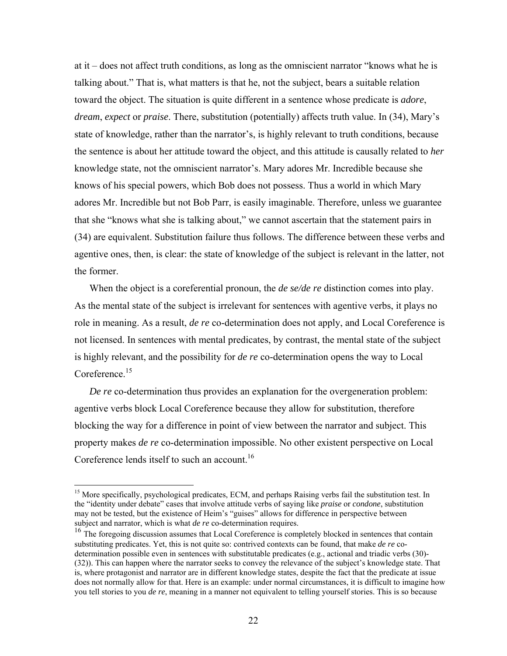at it – does not affect truth conditions, as long as the omniscient narrator "knows what he is talking about." That is, what matters is that he, not the subject, bears a suitable relation toward the object. The situation is quite different in a sentence whose predicate is *adore*, *dream*, *expect* or *praise*. There, substitution (potentially) affects truth value. In (34), Mary's state of knowledge, rather than the narrator's, is highly relevant to truth conditions, because the sentence is about her attitude toward the object, and this attitude is causally related to *her* knowledge state, not the omniscient narrator's. Mary adores Mr. Incredible because she knows of his special powers, which Bob does not possess. Thus a world in which Mary adores Mr. Incredible but not Bob Parr, is easily imaginable. Therefore, unless we guarantee that she "knows what she is talking about," we cannot ascertain that the statement pairs in (34) are equivalent. Substitution failure thus follows. The difference between these verbs and agentive ones, then, is clear: the state of knowledge of the subject is relevant in the latter, not the former.

When the object is a coreferential pronoun, the *de se/de re* distinction comes into play. As the mental state of the subject is irrelevant for sentences with agentive verbs, it plays no role in meaning. As a result, *de re* co-determination does not apply, and Local Coreference is not licensed. In sentences with mental predicates, by contrast, the mental state of the subject is highly relevant, and the possibility for *de re* co-determination opens the way to Local Coreference.<sup>15</sup>

*De re* co-determination thus provides an explanation for the overgeneration problem: agentive verbs block Local Coreference because they allow for substitution, therefore blocking the way for a difference in point of view between the narrator and subject. This property makes *de re* co-determination impossible. No other existent perspective on Local Coreference lends itself to such an account.<sup>16</sup>

 $\overline{a}$ 

<sup>&</sup>lt;sup>15</sup> More specifically, psychological predicates, ECM, and perhaps Raising verbs fail the substitution test. In the "identity under debate" cases that involve attitude verbs of saying like *praise* or *condone*, substitution may not be tested, but the existence of Heim's "guises" allows for difference in perspective between subject and narrator, which is what *de re* co-determination requires.

<sup>&</sup>lt;sup>16</sup> The foregoing discussion assumes that Local Coreference is completely blocked in sentences that contain substituting predicates. Yet, this is not quite so: contrived contexts can be found, that make *de re* codetermination possible even in sentences with substitutable predicates (e.g., actional and triadic verbs (30)- (32)). This can happen where the narrator seeks to convey the relevance of the subject's knowledge state. That is, where protagonist and narrator are in different knowledge states, despite the fact that the predicate at issue does not normally allow for that. Here is an example: under normal circumstances, it is difficult to imagine how you tell stories to you *de re*, meaning in a manner not equivalent to telling yourself stories. This is so because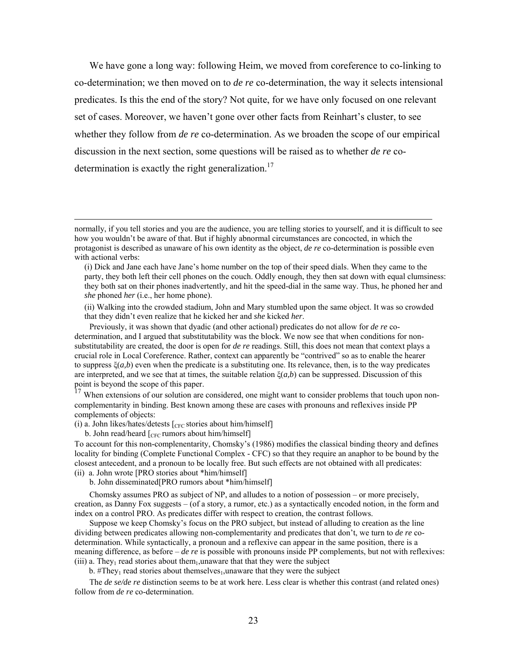We have gone a long way: following Heim, we moved from coreference to co-linking to co-determination; we then moved on to *de re* co-determination, the way it selects intensional predicates. Is this the end of the story? Not quite, for we have only focused on one relevant set of cases. Moreover, we haven't gone over other facts from Reinhart's cluster, to see whether they follow from *de re* co-determination. As we broaden the scope of our empirical discussion in the next section, some questions will be raised as to whether *de re* codetermination is exactly the right generalization.<sup>17</sup>

When extensions of our solution are considered, one might want to consider problems that touch upon noncomplementarity in binding. Best known among these are cases with pronouns and reflexives inside PP complements of objects:

(i) a. John likes/hates/detests  $[<sub>CFC</sub>$  stories about him/himself]

b. John read/heard  $\left[_{CFC}$  rumors about him/himself]

To account for this non-complenentarity, Chomsky's (1986) modifies the classical binding theory and defines locality for binding (Complete Functional Complex - CFC) so that they require an anaphor to be bound by the closest antecedent, and a pronoun to be locally free. But such effects are not obtained with all predicates: (ii) a. John wrote [PRO stories about \*him/himself]

b. John disseminated[PRO rumors about \*him/himself]

Chomsky assumes PRO as subject of NP, and alludes to a notion of possession – or more precisely, creation, as Danny Fox suggests – (of a story, a rumor, etc.) as a syntactically encoded notion, in the form and index on a control PRO. As predicates differ with respect to creation, the contrast follows.

Suppose we keep Chomsky's focus on the PRO subject, but instead of alluding to creation as the line dividing between predicates allowing non-complementarity and predicates that don't, we turn to *de re* codetermination. While syntactically, a pronoun and a reflexive can appear in the same position, there is a meaning difference, as before – *de re* is possible with pronouns inside PP complements, but not with reflexives: (iii) a. They<sub>1</sub> read stories about them<sub>1</sub>, unaware that that they were the subject

b. #They<sub>1</sub> read stories about themselves<sub>1</sub>, unaware that they were the subject

The *de se/de re* distinction seems to be at work here. Less clear is whether this contrast (and related ones) follow from *de re* co-determination.

normally, if you tell stories and you are the audience, you are telling stories to yourself, and it is difficult to see how you wouldn't be aware of that. But if highly abnormal circumstances are concocted, in which the protagonist is described as unaware of his own identity as the object, *de re* co-determination is possible even with actional verbs:

<sup>(</sup>i) Dick and Jane each have Jane's home number on the top of their speed dials. When they came to the party, they both left their cell phones on the couch. Oddly enough, they then sat down with equal clumsiness: they both sat on their phones inadvertently, and hit the speed-dial in the same way. Thus, he phoned her and *she* phoned *her* (i.e., her home phone).

<sup>(</sup>ii) Walking into the crowded stadium, John and Mary stumbled upon the same object. It was so crowded that they didn't even realize that he kicked her and *she* kicked *her*.

Previously, it was shown that dyadic (and other actional) predicates do not allow for *de re* codetermination, and I argued that substitutability was the block. We now see that when conditions for nonsubstitutability are created, the door is open for *de re* readings. Still, this does not mean that context plays a crucial role in Local Coreference. Rather, context can apparently be "contrived" so as to enable the hearer to suppress  $\xi(a,b)$  even when the predicate is a substituting one. Its relevance, then, is to the way predicates are interpreted, and we see that at times, the suitable relation  $\zeta(a,b)$  can be suppressed. Discussion of this point is beyond the scope of this paper.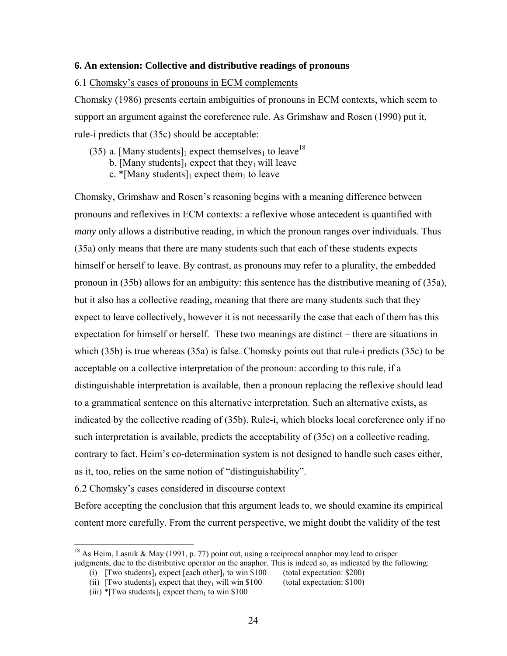### **6. An extension: Collective and distributive readings of pronouns**

#### 6.1 Chomsky's cases of pronouns in ECM complements

Chomsky (1986) presents certain ambiguities of pronouns in ECM contexts, which seem to support an argument against the coreference rule. As Grimshaw and Rosen (1990) put it, rule-i predicts that (35c) should be acceptable:

- (35) a. [Many students]<sub>1</sub> expect themselves<sub>1</sub> to leave<sup>18</sup>
	- b. [Many students]<sub>1</sub> expect that they<sub>1</sub> will leave
	- c. \*[Many students]<sub>1</sub> expect them<sub>1</sub> to leave

Chomsky, Grimshaw and Rosen's reasoning begins with a meaning difference between pronouns and reflexives in ECM contexts: a reflexive whose antecedent is quantified with *many* only allows a distributive reading, in which the pronoun ranges over individuals. Thus (35a) only means that there are many students such that each of these students expects himself or herself to leave. By contrast, as pronouns may refer to a plurality, the embedded pronoun in (35b) allows for an ambiguity: this sentence has the distributive meaning of (35a), but it also has a collective reading, meaning that there are many students such that they expect to leave collectively, however it is not necessarily the case that each of them has this expectation for himself or herself. These two meanings are distinct – there are situations in which (35b) is true whereas (35a) is false. Chomsky points out that rule-i predicts (35c) to be acceptable on a collective interpretation of the pronoun: according to this rule, if a distinguishable interpretation is available, then a pronoun replacing the reflexive should lead to a grammatical sentence on this alternative interpretation. Such an alternative exists, as indicated by the collective reading of (35b). Rule-i, which blocks local coreference only if no such interpretation is available, predicts the acceptability of (35c) on a collective reading, contrary to fact. Heim's co-determination system is not designed to handle such cases either, as it, too, relies on the same notion of "distinguishability".

6.2 Chomsky's cases considered in discourse context

Before accepting the conclusion that this argument leads to, we should examine its empirical content more carefully. From the current perspective, we might doubt the validity of the test

 $\overline{a}$ 

<sup>&</sup>lt;sup>18</sup> As Heim, Lasnik & May (1991, p. 77) point out, using a reciprocal anaphor may lead to crisper judgments, due to the distributive operator on the anaphor. This is indeed so, as indicated by the following:

<sup>(</sup>i)  $[Tw\sigma\ students]_1$  expect  $[each\ other]_1$  to win \$100 (total expectation: \$200)

<sup>(</sup>ii)  $[Two students]_1$  expect that they<sub>1</sub> will win \$100 (total expectation: \$100)

<sup>(</sup>iii) \*[Two students] $_1$  expect them<sub>1</sub> to win \$100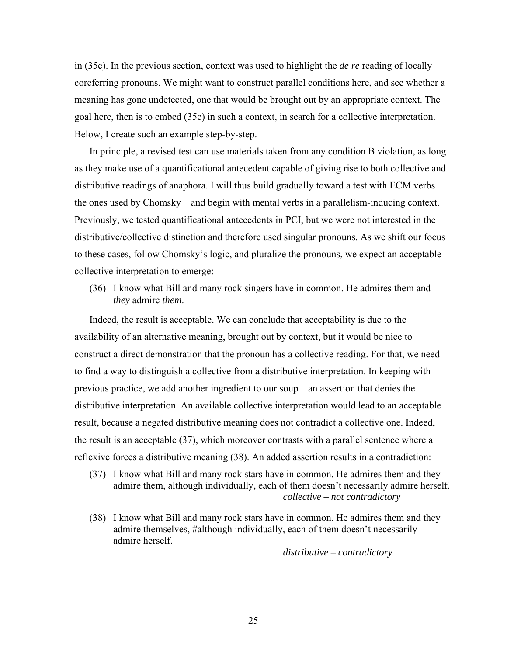in (35c). In the previous section, context was used to highlight the *de re* reading of locally coreferring pronouns. We might want to construct parallel conditions here, and see whether a meaning has gone undetected, one that would be brought out by an appropriate context. The goal here, then is to embed (35c) in such a context, in search for a collective interpretation. Below, I create such an example step-by-step.

In principle, a revised test can use materials taken from any condition B violation, as long as they make use of a quantificational antecedent capable of giving rise to both collective and distributive readings of anaphora. I will thus build gradually toward a test with ECM verbs – the ones used by Chomsky – and begin with mental verbs in a parallelism-inducing context. Previously, we tested quantificational antecedents in PCI, but we were not interested in the distributive/collective distinction and therefore used singular pronouns. As we shift our focus to these cases, follow Chomsky's logic, and pluralize the pronouns, we expect an acceptable collective interpretation to emerge:

(36) I know what Bill and many rock singers have in common. He admires them and *they* admire *them*.

Indeed, the result is acceptable. We can conclude that acceptability is due to the availability of an alternative meaning, brought out by context, but it would be nice to construct a direct demonstration that the pronoun has a collective reading. For that, we need to find a way to distinguish a collective from a distributive interpretation. In keeping with previous practice, we add another ingredient to our soup – an assertion that denies the distributive interpretation. An available collective interpretation would lead to an acceptable result, because a negated distributive meaning does not contradict a collective one. Indeed, the result is an acceptable (37), which moreover contrasts with a parallel sentence where a reflexive forces a distributive meaning (38). An added assertion results in a contradiction:

- (37) I know what Bill and many rock stars have in common. He admires them and they admire them, although individually, each of them doesn't necessarily admire herself. *collective – not contradictory*
- (38) I know what Bill and many rock stars have in common. He admires them and they admire themselves, #although individually, each of them doesn't necessarily admire herself.

*distributive – contradictory*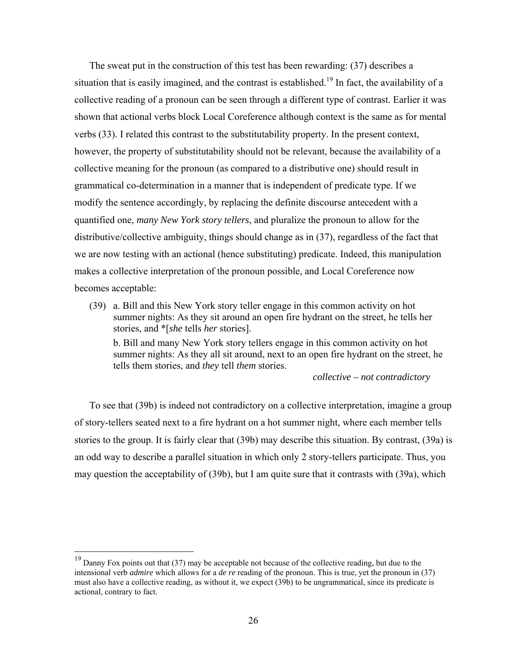The sweat put in the construction of this test has been rewarding: (37) describes a situation that is easily imagined, and the contrast is established.<sup>19</sup> In fact, the availability of a collective reading of a pronoun can be seen through a different type of contrast. Earlier it was shown that actional verbs block Local Coreference although context is the same as for mental verbs (33). I related this contrast to the substitutability property. In the present context, however, the property of substitutability should not be relevant, because the availability of a collective meaning for the pronoun (as compared to a distributive one) should result in grammatical co-determination in a manner that is independent of predicate type. If we modify the sentence accordingly, by replacing the definite discourse antecedent with a quantified one, *many New York story tellers*, and pluralize the pronoun to allow for the distributive/collective ambiguity, things should change as in (37), regardless of the fact that we are now testing with an actional (hence substituting) predicate. Indeed, this manipulation makes a collective interpretation of the pronoun possible, and Local Coreference now becomes acceptable:

(39) a. Bill and this New York story teller engage in this common activity on hot summer nights: As they sit around an open fire hydrant on the street, he tells her stories, and \*[*she* tells *her* stories]. b. Bill and many New York story tellers engage in this common activity on hot summer nights: As they all sit around, next to an open fire hydrant on the street, he tells them stories, and *they* tell *them* stories.

*collective – not contradictory*

To see that (39b) is indeed not contradictory on a collective interpretation, imagine a group of story-tellers seated next to a fire hydrant on a hot summer night, where each member tells stories to the group. It is fairly clear that (39b) may describe this situation. By contrast, (39a) is an odd way to describe a parallel situation in which only 2 story-tellers participate. Thus, you may question the acceptability of (39b), but I am quite sure that it contrasts with (39a), which

<u>.</u>

 $19$  Danny Fox points out that (37) may be acceptable not because of the collective reading, but due to the intensional verb *admire* which allows for a *de re* reading of the pronoun. This is true, yet the pronoun in (37) must also have a collective reading, as without it, we expect (39b) to be ungrammatical, since its predicate is actional, contrary to fact.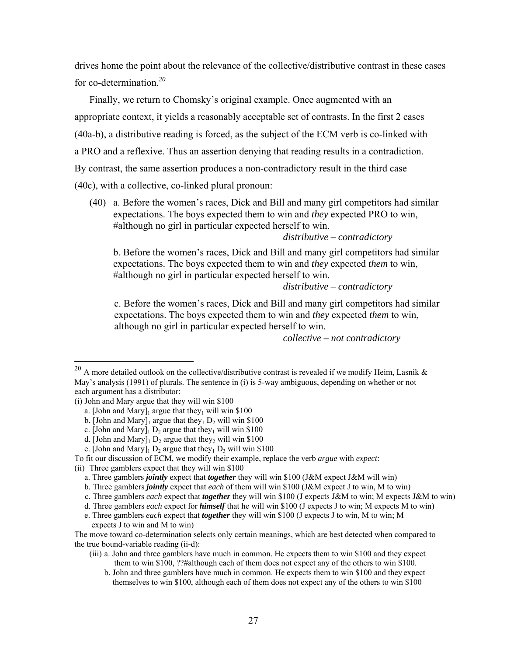drives home the point about the relevance of the collective/distributive contrast in these cases for co-determination.*<sup>20</sup>*

Finally, we return to Chomsky's original example. Once augmented with an appropriate context, it yields a reasonably acceptable set of contrasts. In the first 2 cases (40a-b), a distributive reading is forced, as the subject of the ECM verb is co-linked with a PRO and a reflexive. Thus an assertion denying that reading results in a contradiction. By contrast, the same assertion produces a non-contradictory result in the third case (40c), with a collective, co-linked plural pronoun:

(40) a. Before the women's races, Dick and Bill and many girl competitors had similar expectations. The boys expected them to win and *they* expected PRO to win, #although no girl in particular expected herself to win.

### *distributive – contradictory*

b. Before the women's races, Dick and Bill and many girl competitors had similar expectations. The boys expected them to win and *they* expected *them* to win, #although no girl in particular expected herself to win.

### *distributive – contradictory*

c. Before the women's races, Dick and Bill and many girl competitors had similar expectations. The boys expected them to win and *they* expected *them* to win, although no girl in particular expected herself to win.

*collective – not contradictory* 

 $\overline{a}$ 

<sup>&</sup>lt;sup>20</sup> A more detailed outlook on the collective/distributive contrast is revealed if we modify Heim, Lasnik & May's analysis (1991) of plurals. The sentence in (i) is 5-way ambiguous, depending on whether or not each argument has a distributor:

<sup>(</sup>i) John and Mary argue that they will win \$100

a. [John and Mary]<sub>1</sub> argue that they<sub>1</sub> will win \$100

b. [John and Mary]<sub>1</sub> argue that they<sub>1</sub> D<sub>2</sub> will win \$100

c. [John and Mary] $_1$  D<sub>2</sub> argue that they<sub>1</sub> will win \$100

d. [John and Mary]<sub>1</sub> D<sub>2</sub> argue that they<sub>2</sub> will win \$100

e. [John and Mary]<sub>1</sub> D<sub>2</sub> argue that they<sub>1</sub> D<sub>3</sub> will win \$100

To fit our discussion of ECM, we modify their example, replace the verb *argue* with *expect*:

<sup>(</sup>ii) Three gamblers expect that they will win \$100

a. Three gamblers *jointly* expect that *together* they will win \$100 (J&M expect J&M will win)

b. Three gamblers *jointly* expect that *each* of them will win \$100 (J&M expect J to win, M to win)

c. Three gamblers *each* expect that *together* they will win \$100 (J expects J&M to win; M expects J&M to win)

d. Three gamblers *each* expect for *himself* that he will win \$100 (J expects J to win; M expects M to win)

e. Three gamblers *each* expect that *together* they will win \$100 (J expects J to win, M to win; M expects J to win and M to win)

The move toward co-determination selects only certain meanings, which are best detected when compared to the true bound-variable reading (ii-d):

<sup>(</sup>iii) a. John and three gamblers have much in common. He expects them to win \$100 and they expect them to win \$100, ??#although each of them does not expect any of the others to win \$100.

b. John and three gamblers have much in common. He expects them to win \$100 and they expect themselves to win \$100, although each of them does not expect any of the others to win \$100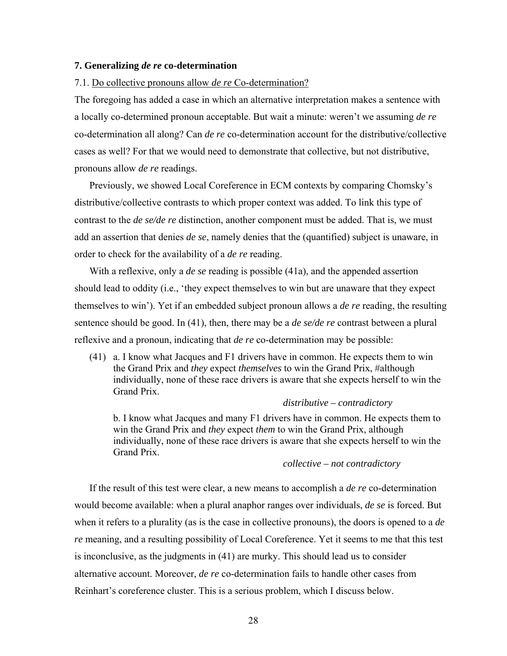#### **7. Generalizing** *de re* **co-determination**

#### 7.1. Do collective pronouns allow *de re* Co-determination?

The foregoing has added a case in which an alternative interpretation makes a sentence with a locally co-determined pronoun acceptable. But wait a minute: weren't we assuming *de re* co-determination all along? Can *de re* co-determination account for the distributive/collective cases as well? For that we would need to demonstrate that collective, but not distributive, pronouns allow *de re* readings.

Previously, we showed Local Coreference in ECM contexts by comparing Chomsky's distributive/collective contrasts to which proper context was added. To link this type of contrast to the *de se/de re* distinction, another component must be added. That is, we must add an assertion that denies *de se*, namely denies that the (quantified) subject is unaware, in order to check for the availability of a *de re* reading.

With a reflexive, only a *de se* reading is possible (41a), and the appended assertion should lead to oddity (i.e., 'they expect themselves to win but are unaware that they expect themselves to win'). Yet if an embedded subject pronoun allows a *de re* reading, the resulting sentence should be good. In (41), then, there may be a *de se/de re* contrast between a plural reflexive and a pronoun, indicating that *de re* co-determination may be possible:

(41) a. I know what Jacques and F1 drivers have in common. He expects them to win the Grand Prix and *they* expect *themselves* to win the Grand Prix, #although individually, none of these race drivers is aware that she expects herself to win the Grand Prix.

#### *distributive – contradictory*

b. I know what Jacques and many F1 drivers have in common. He expects them to win the Grand Prix and *they* expect *them* to win the Grand Prix, although individually, none of these race drivers is aware that she expects herself to win the Grand Prix.

#### *collective – not contradictory*

If the result of this test were clear, a new means to accomplish a *de re* co-determination would become available: when a plural anaphor ranges over individuals, *de se* is forced. But when it refers to a plurality (as is the case in collective pronouns), the doors is opened to a *de re* meaning, and a resulting possibility of Local Coreference. Yet it seems to me that this test is inconclusive, as the judgments in (41) are murky. This should lead us to consider alternative account. Moreover, *de re* co-determination fails to handle other cases from Reinhart's coreference cluster. This is a serious problem, which I discuss below.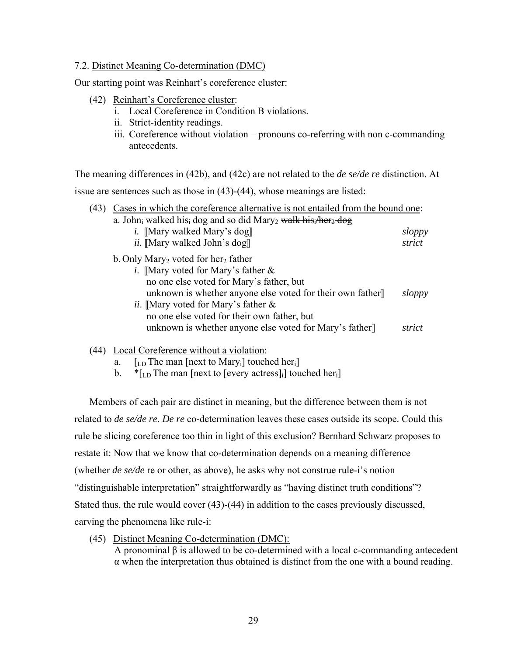### 7.2. Distinct Meaning Co-determination (DMC)

Our starting point was Reinhart's coreference cluster:

- (42) Reinhart's Coreference cluster:
	- i. Local Coreference in Condition B violations.
	- ii. Strict-identity readings.
	- iii. Coreference without violation pronouns co-referring with non c-commanding antecedents.

The meaning differences in (42b), and (42c) are not related to the *de se/de re* distinction. At issue are sentences such as those in (43)-(44), whose meanings are listed:

| (43) | Cases in which the coreference alternative is not entailed from the bound one:                        |        |  |
|------|-------------------------------------------------------------------------------------------------------|--------|--|
|      | a. John <sub>i</sub> walked his dog and so did Mary <sub>2</sub> walk his <i>her</i> <sub>2</sub> dog |        |  |
|      | <i>i.</i> [Mary walked Mary's dog]                                                                    | sloppy |  |
|      | <i>ii.</i> [Mary walked John's dog]                                                                   | strict |  |
|      | b. Only Mary <sub>2</sub> voted for her <sub>2</sub> father                                           |        |  |
|      | <i>i</i> . [Mary voted for Mary's father $\&$                                                         |        |  |
|      | no one else voted for Mary's father, but                                                              |        |  |
|      | unknown is whether anyone else voted for their own father]                                            | sloppy |  |
|      | <i>ii.</i> [Mary voted for Mary's father $\&$                                                         |        |  |
|      | no one else voted for their own father, but                                                           |        |  |
|      | unknown is whether anyone else voted for Mary's father                                                | strict |  |
|      |                                                                                                       |        |  |

# (44) Local Coreference without a violation:

- a.  $\left[\begin{matrix} 1 & D \end{matrix}\right]$  [LD The man  $\left[\begin{matrix} \text{next to Mary}_i \\ \text{every} \end{matrix}\right]$  touched here
- b.  $*_{\text{LD}}$  The man [next to [every actress] [] touched her

Members of each pair are distinct in meaning, but the difference between them is not related to *de se/de re*. *De re* co-determination leaves these cases outside its scope. Could this rule be slicing coreference too thin in light of this exclusion? Bernhard Schwarz proposes to restate it: Now that we know that co-determination depends on a meaning difference (whether *de se/de* re or other, as above), he asks why not construe rule-i's notion "distinguishable interpretation" straightforwardly as "having distinct truth conditions"? Stated thus, the rule would cover (43)-(44) in addition to the cases previously discussed, carving the phenomena like rule-i:

(45) Distinct Meaning Co-determination (DMC):

A pronominal β is allowed to be co-determined with a local c-commanding antecedent α when the interpretation thus obtained is distinct from the one with a bound reading.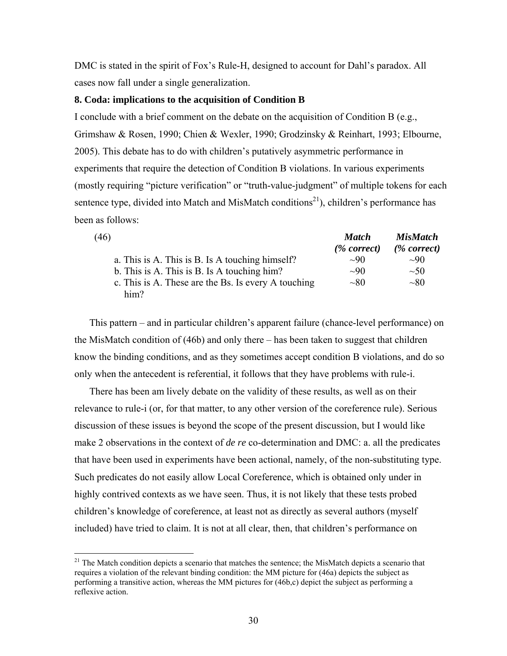DMC is stated in the spirit of Fox's Rule-H, designed to account for Dahl's paradox. All cases now fall under a single generalization.

### **8. Coda: implications to the acquisition of Condition B**

I conclude with a brief comment on the debate on the acquisition of Condition B (e.g., Grimshaw & Rosen, 1990; Chien & Wexler, 1990; Grodzinsky & Reinhart, 1993; Elbourne, 2005). This debate has to do with children's putatively asymmetric performance in experiments that require the detection of Condition B violations. In various experiments (mostly requiring "picture verification" or "truth-value-judgment" of multiple tokens for each sentence type, divided into Match and MisMatch conditions<sup>21</sup>), children's performance has been as follows:

| (46)                                                        | <b>Match</b>   | <b>MisMatch</b> |
|-------------------------------------------------------------|----------------|-----------------|
|                                                             | $(\%$ correct) | $(\%$ correct)  |
| a. This is A. This is B. Is A touching himself?             | $\sim 90$      | $\sim 90$       |
| b. This is A. This is B. Is A touching him?                 | $\sim 90$      | $\sim 50$       |
| c. This is A. These are the Bs. Is every A touching<br>him? | $\sim 80$      | $\sim 80$       |

This pattern – and in particular children's apparent failure (chance-level performance) on the MisMatch condition of (46b) and only there – has been taken to suggest that children know the binding conditions, and as they sometimes accept condition B violations, and do so only when the antecedent is referential, it follows that they have problems with rule-i.

There has been am lively debate on the validity of these results, as well as on their relevance to rule-i (or, for that matter, to any other version of the coreference rule). Serious discussion of these issues is beyond the scope of the present discussion, but I would like make 2 observations in the context of *de re* co-determination and DMC: a. all the predicates that have been used in experiments have been actional, namely, of the non-substituting type. Such predicates do not easily allow Local Coreference, which is obtained only under in highly contrived contexts as we have seen. Thus, it is not likely that these tests probed children's knowledge of coreference, at least not as directly as several authors (myself included) have tried to claim. It is not at all clear, then, that children's performance on

<u>.</u>

 $21$  The Match condition depicts a scenario that matches the sentence; the MisMatch depicts a scenario that requires a violation of the relevant binding condition: the MM picture for (46a) depicts the subject as performing a transitive action, whereas the MM pictures for (46b,c) depict the subject as performing a reflexive action.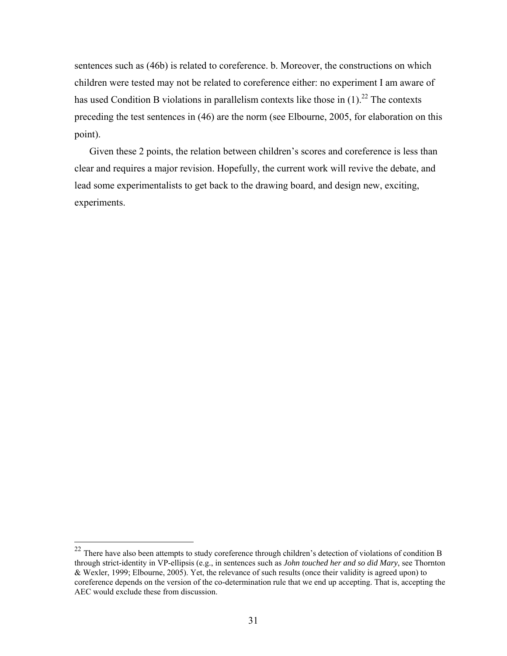sentences such as (46b) is related to coreference. b. Moreover, the constructions on which children were tested may not be related to coreference either: no experiment I am aware of has used Condition B violations in parallelism contexts like those in  $(1)$ .<sup>22</sup> The contexts preceding the test sentences in (46) are the norm (see Elbourne, 2005, for elaboration on this point).

Given these 2 points, the relation between children's scores and coreference is less than clear and requires a major revision. Hopefully, the current work will revive the debate, and lead some experimentalists to get back to the drawing board, and design new, exciting, experiments.

 $\overline{a}$ 

 $22$  There have also been attempts to study coreference through children's detection of violations of condition B through strict-identity in VP-ellipsis (e.g., in sentences such as *John touched her and so did Mary*, see Thornton & Wexler, 1999; Elbourne, 2005). Yet, the relevance of such results (once their validity is agreed upon) to coreference depends on the version of the co-determination rule that we end up accepting. That is, accepting the AEC would exclude these from discussion.